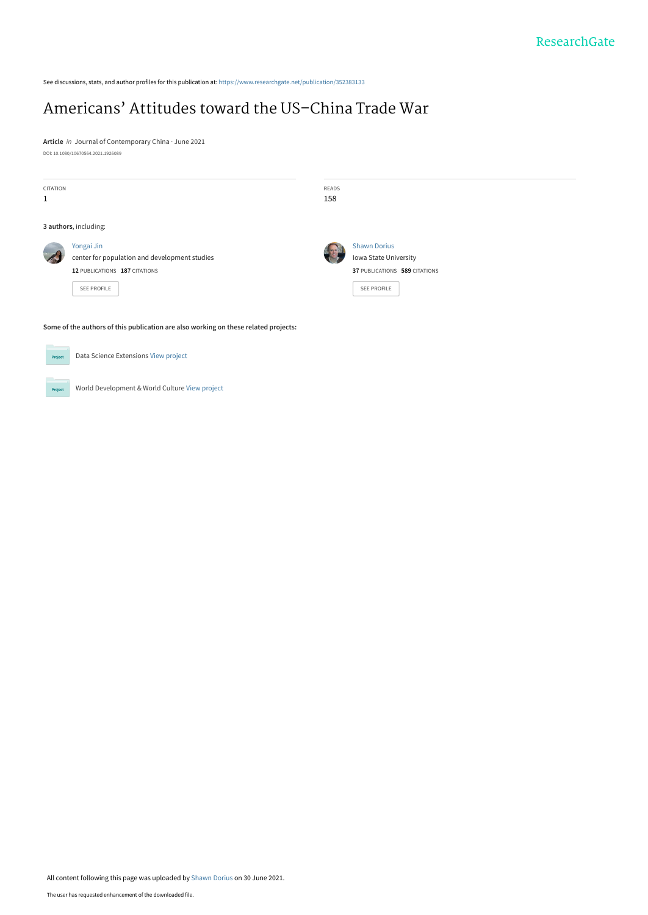See discussions, stats, and author profiles for this publication at: [https://www.researchgate.net/publication/352383133](https://www.researchgate.net/publication/352383133_Americans%27_Attitudes_toward_the_US-China_Trade_War?enrichId=rgreq-be7b7fcd67ba5139d2536b597d396dd7-XXX&enrichSource=Y292ZXJQYWdlOzM1MjM4MzEzMztBUzoxMDQwNTIwNzEzMzU5MzYwQDE2MjUwOTA4Nzg0NTY%3D&el=1_x_2&_esc=publicationCoverPdf)

# [Americans' Attitudes toward the US–China Trade War](https://www.researchgate.net/publication/352383133_Americans%27_Attitudes_toward_the_US-China_Trade_War?enrichId=rgreq-be7b7fcd67ba5139d2536b597d396dd7-XXX&enrichSource=Y292ZXJQYWdlOzM1MjM4MzEzMztBUzoxMDQwNTIwNzEzMzU5MzYwQDE2MjUwOTA4Nzg0NTY%3D&el=1_x_3&_esc=publicationCoverPdf)

**Article** in Journal of Contemporary China · June 2021 DOI: 10.1080/10670564.2021.1926089

| <b>CITATION</b><br>1 |                                                                                                                    | READS<br>158 |                                                                                                     |
|----------------------|--------------------------------------------------------------------------------------------------------------------|--------------|-----------------------------------------------------------------------------------------------------|
|                      | 3 authors, including:                                                                                              |              |                                                                                                     |
|                      | Yongai Jin<br>center for population and development studies<br>12 PUBLICATIONS 187 CITATIONS<br><b>SEE PROFILE</b> |              | <b>Shawn Dorius</b><br>Iowa State University<br>37 PUBLICATIONS 589 CITATIONS<br><b>SEE PROFILE</b> |
|                      | Some of the authors of this publication are also working on these related projects:                                |              |                                                                                                     |



All content following this page was uploaded by [Shawn Dorius](https://www.researchgate.net/profile/Shawn-Dorius-2?enrichId=rgreq-be7b7fcd67ba5139d2536b597d396dd7-XXX&enrichSource=Y292ZXJQYWdlOzM1MjM4MzEzMztBUzoxMDQwNTIwNzEzMzU5MzYwQDE2MjUwOTA4Nzg0NTY%3D&el=1_x_10&_esc=publicationCoverPdf) on 30 June 2021.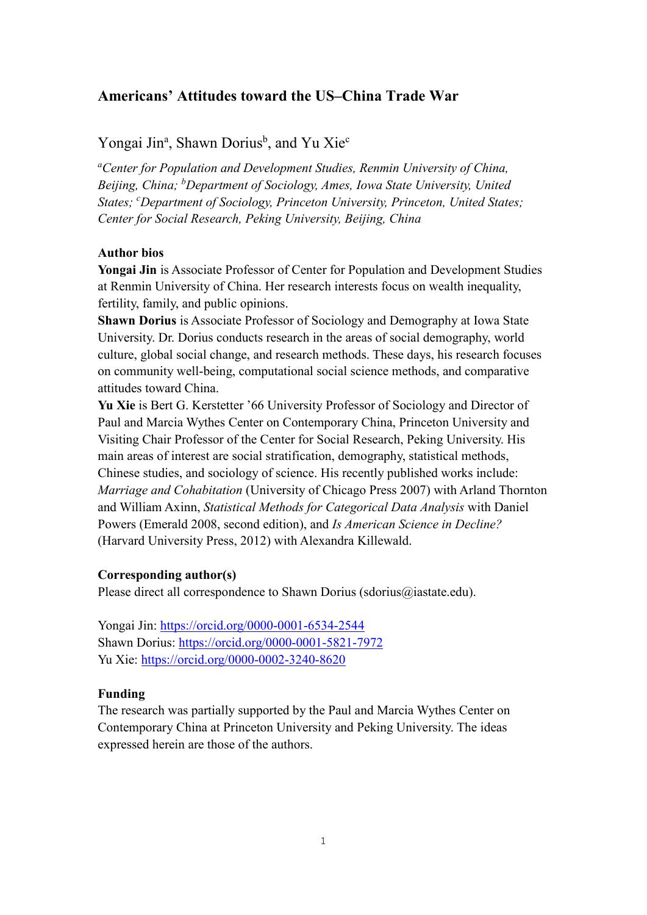## **Americans' Attitudes toward the US–China Trade War**

## Yongai Jin<sup>a</sup>, Shawn Dorius<sup>b</sup>, and Yu Xie<sup>c</sup>

<sup>a</sup> Center for Population and Development Studies, Renmin University of China, *Beijing, China; b Department of Sociology, Ames, Iowa State University, United States; c Department of Sociology, Princeton University, Princeton, United States; Center for Social Research, Peking University, Beijing, China*

### **Author bios**

**Yongai Jin** is Associate Professor of Center for Population and Development Studies at Renmin University of China. Her research interests focus on wealth inequality, fertility, family, and public opinions.

**Shawn Dorius** is Associate Professor of Sociology and Demography at Iowa State University. Dr. Dorius conducts research in the areas of social demography, world culture, global social change, and research methods. These days, his research focuses on community well-being, computational social science methods, and comparative attitudes toward China.

**Yu Xie** is Bert G. Kerstetter '66 University Professor of Sociology and Director of Paul and Marcia Wythes Center on Contemporary China, Princeton University and Visiting Chair Professor of the Center for Social Research, Peking University. His main areas of interest are social stratification, demography, statistical methods, Chinese studies, and sociology of science. His recently published works include: *Marriage and Cohabitation* (University of Chicago Press 2007) with Arland Thornton and William Axinn, *Statistical Methods for Categorical Data Analysis* with Daniel Powers (Emerald 2008, second edition), and *Is American Science in Decline?* (Harvard University Press, 2012) with Alexandra Killewald.

#### **Corresponding author(s)**

Please direct all correspondence to Shawn Dorius (sdorius  $\omega$ iastate.edu).

Yongai Jin:<https://orcid.org/0000-0001-6534-2544> Shawn Dorius: <https://orcid.org/0000-0001-5821-7972> Yu Xie:<https://orcid.org/0000-0002-3240-8620>

## **Funding**

The research was partially supported by the Paul and Marcia Wythes Center on Contemporary China at Princeton University and Peking University. The ideas expressed herein are those of the authors.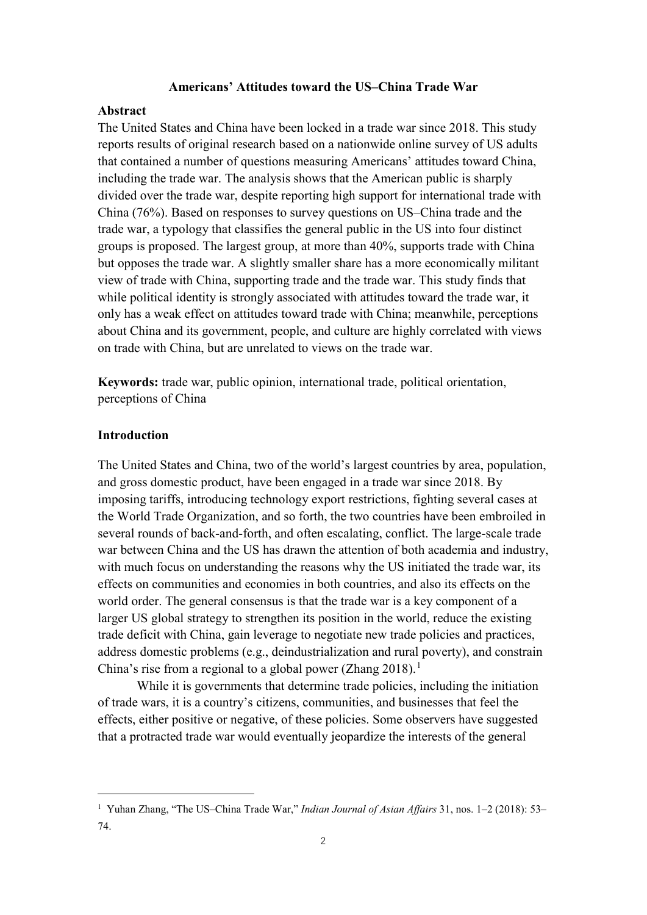#### **Americans' Attitudes toward the US–China Trade War**

### **Abstract**

The United States and China have been locked in a trade war since 2018. This study reports results of original research based on a nationwide online survey of US adults that contained a number of questions measuring Americans' attitudes toward China, including the trade war. The analysis shows that the American public is sharply divided over the trade war, despite reporting high support for international trade with China (76%). Based on responses to survey questions on US–China trade and the trade war, a typology that classifies the general public in the US into four distinct groups is proposed. The largest group, at more than 40%, supports trade with China but opposes the trade war. A slightly smaller share has a more economically militant view of trade with China, supporting trade and the trade war. This study finds that while political identity is strongly associated with attitudes toward the trade war, it only has a weak effect on attitudes toward trade with China; meanwhile, perceptions about China and its government, people, and culture are highly correlated with views on trade with China, but are unrelated to views on the trade war.

**Keywords:** trade war, public opinion, international trade, political orientation, perceptions of China

#### **Introduction**

1

The United States and China, two of the world's largest countries by area, population, and gross domestic product, have been engaged in a trade war since 2018. By imposing tariffs, introducing technology export restrictions, fighting several cases at the World Trade Organization, and so forth, the two countries have been embroiled in several rounds of back-and-forth, and often escalating, conflict. The large-scale trade war between China and the US has drawn the attention of both academia and industry, with much focus on understanding the reasons why the US initiated the trade war, its effects on communities and economies in both countries, and also its effects on the world order. The general consensus is that the trade war is a key component of a larger US global strategy to strengthen its position in the world, reduce the existing trade deficit with China, gain leverage to negotiate new trade policies and practices, address domestic problems (e.g., deindustrialization and rural poverty), and constrain China's rise from a regional to a global power (Zhang  $2018$  $2018$  $2018$ ).<sup>1</sup>

While it is governments that determine trade policies, including the initiation of trade wars, it is a country's citizens, communities, and businesses that feel the effects, either positive or negative, of these policies. Some observers have suggested that a protracted trade war would eventually jeopardize the interests of the general

<span id="page-2-0"></span><sup>1</sup> Yuhan Zhang, "The US–China Trade War," *Indian Journal of Asian Affairs* 31, nos. 1–2 (2018): 53– 74.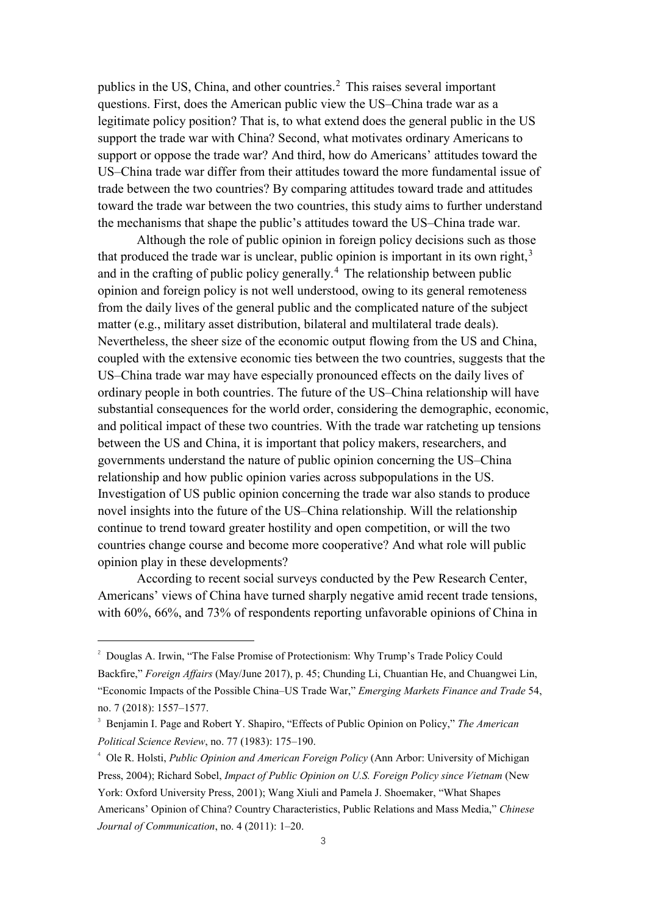publics in the US, China, and other countries. [2](#page-3-0) This raises several important questions. First, does the American public view the US–China trade war as a legitimate policy position? That is, to what extend does the general public in the US support the trade war with China? Second, what motivates ordinary Americans to support or oppose the trade war? And third, how do Americans' attitudes toward the US–China trade war differ from their attitudes toward the more fundamental issue of trade between the two countries? By comparing attitudes toward trade and attitudes toward the trade war between the two countries, this study aims to further understand the mechanisms that shape the public's attitudes toward the US–China trade war.

Although the role of public opinion in foreign policy decisions such as those that produced the trade war is unclear, public opinion is important in its own right,<sup>[3](#page-3-1)</sup> and in the crafting of public policy generally. [4](#page-3-2) The relationship between public opinion and foreign policy is not well understood, owing to its general remoteness from the daily lives of the general public and the complicated nature of the subject matter (e.g., military asset distribution, bilateral and multilateral trade deals). Nevertheless, the sheer size of the economic output flowing from the US and China, coupled with the extensive economic ties between the two countries, suggests that the US–China trade war may have especially pronounced effects on the daily lives of ordinary people in both countries. The future of the US–China relationship will have substantial consequences for the world order, considering the demographic, economic, and political impact of these two countries. With the trade war ratcheting up tensions between the US and China, it is important that policy makers, researchers, and governments understand the nature of public opinion concerning the US–China relationship and how public opinion varies across subpopulations in the US. Investigation of US public opinion concerning the trade war also stands to produce novel insights into the future of the US–China relationship. Will the relationship continue to trend toward greater hostility and open competition, or will the two countries change course and become more cooperative? And what role will public opinion play in these developments?

According to recent social surveys conducted by the Pew Research Center, Americans' views of China have turned sharply negative amid recent trade tensions, with 60%, 66%, and 73% of respondents reporting unfavorable opinions of China in

<span id="page-3-0"></span> $\frac{1}{2}$ <sup>2</sup> Douglas A. Irwin, "The False Promise of Protectionism: Why Trump's Trade Policy Could Backfire," *Foreign Affairs* (May/June 2017), p. 45; Chunding Li, Chuantian He, and Chuangwei Lin, "Economic Impacts of the Possible China–US Trade War," *Emerging Markets Finance and Trade* 54, no. 7 (2018): 1557–1577.

<span id="page-3-1"></span><sup>3</sup> Benjamin I. Page and Robert Y. Shapiro, "Effects of Public Opinion on Policy," *The American Political Science Review*, no. 77 (1983): 175–190.

<span id="page-3-2"></span><sup>4</sup> Ole R. Holsti, *Public Opinion and American Foreign Policy* (Ann Arbor: University of Michigan Press, 2004); Richard Sobel, *Impact of Public Opinion on U.S. Foreign Policy since Vietnam* (New

York: Oxford University Press, 2001); Wang Xiuli and Pamela J. Shoemaker, "What Shapes

Americans' Opinion of China? Country Characteristics, Public Relations and Mass Media," *Chinese Journal of Communication*, no. 4 (2011): 1–20.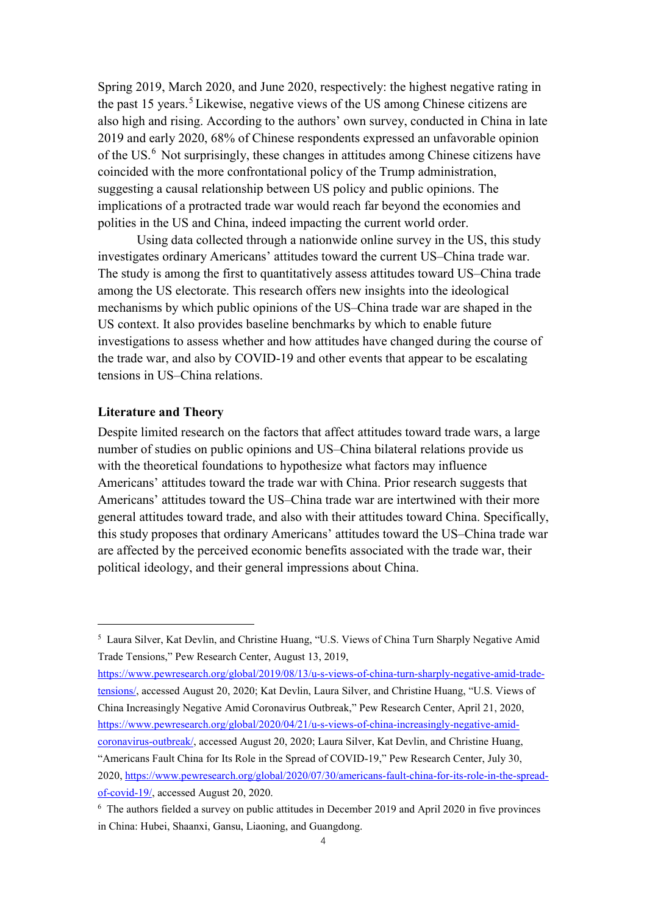Spring 2019, March 2020, and June 2020, respectively: the highest negative rating in the past 15 years. [5](#page-4-0) Likewise, negative views of the US among Chinese citizens are also high and rising. According to the authors' own survey, conducted in China in late 2019 and early 2020, 68% of Chinese respondents expressed an unfavorable opinion of the US. [6](#page-4-1) Not surprisingly, these changes in attitudes among Chinese citizens have coincided with the more confrontational policy of the Trump administration, suggesting a causal relationship between US policy and public opinions. The implications of a protracted trade war would reach far beyond the economies and polities in the US and China, indeed impacting the current world order.

Using data collected through a nationwide online survey in the US, this study investigates ordinary Americans' attitudes toward the current US–China trade war. The study is among the first to quantitatively assess attitudes toward US–China trade among the US electorate. This research offers new insights into the ideological mechanisms by which public opinions of the US–China trade war are shaped in the US context. It also provides baseline benchmarks by which to enable future investigations to assess whether and how attitudes have changed during the course of the trade war, and also by COVID-19 and other events that appear to be escalating tensions in US–China relations.

### **Literature and Theory**

1

Despite limited research on the factors that affect attitudes toward trade wars, a large number of studies on public opinions and US–China bilateral relations provide us with the theoretical foundations to hypothesize what factors may influence Americans' attitudes toward the trade war with China. Prior research suggests that Americans' attitudes toward the US–China trade war are intertwined with their more general attitudes toward trade, and also with their attitudes toward China. Specifically, this study proposes that ordinary Americans' attitudes toward the US–China trade war are affected by the perceived economic benefits associated with the trade war, their political ideology, and their general impressions about China.

[https://www.pewresearch.org/global/2019/08/13/u-s-views-of-china-turn-sharply-negative-amid-trade](https://www.pewresearch.org/global/2019/08/13/u-s-views-of-china-turn-sharply-negative-amid-trade-tensions/)[tensions/,](https://www.pewresearch.org/global/2019/08/13/u-s-views-of-china-turn-sharply-negative-amid-trade-tensions/) accessed August 20, 2020; Kat Devlin, Laura Silver, and Christine Huang, "U.S. Views of China Increasingly Negative Amid Coronavirus Outbreak," Pew Research Center, April 21, 2020, [https://www.pewresearch.org/global/2020/04/21/u-s-views-of-china-increasingly-negative-amid](https://www.pewresearch.org/global/2020/04/21/u-s-views-of-china-increasingly-negative-amid-coronavirus-outbreak/)[coronavirus-outbreak/,](https://www.pewresearch.org/global/2020/04/21/u-s-views-of-china-increasingly-negative-amid-coronavirus-outbreak/) accessed August 20, 2020; Laura Silver, Kat Devlin, and Christine Huang, "Americans Fault China for Its Role in the Spread of COVID-19," Pew Research Center, July 30, 2020, [https://www.pewresearch.org/global/2020/07/30/americans-fault-china-for-its-role-in-the-spread](https://www.pewresearch.org/global/2020/07/30/americans-fault-china-for-its-role-in-the-spread-of-covid-19/)[of-covid-19/,](https://www.pewresearch.org/global/2020/07/30/americans-fault-china-for-its-role-in-the-spread-of-covid-19/) accessed August 20, 2020.

<span id="page-4-0"></span><sup>5</sup> Laura Silver, Kat Devlin, and Christine Huang, "U.S. Views of China Turn Sharply Negative Amid Trade Tensions," Pew Research Center, August 13, 2019,

<span id="page-4-1"></span><sup>6</sup> The authors fielded a survey on public attitudes in December 2019 and April 2020 in five provinces in China: Hubei, Shaanxi, Gansu, Liaoning, and Guangdong.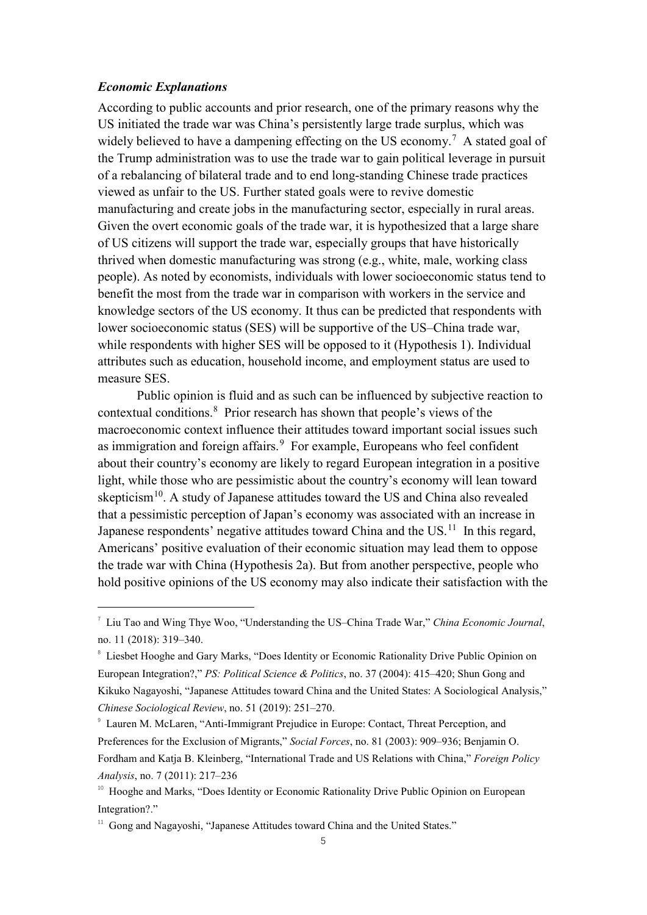## *Economic Explanations*

According to public accounts and prior research, one of the primary reasons why the US initiated the trade war was China's persistently large trade surplus, which was widely believed to have a dampening effecting on the US economy.<sup>[7](#page-5-0)</sup> A stated goal of the Trump administration was to use the trade war to gain political leverage in pursuit of a rebalancing of bilateral trade and to end long-standing Chinese trade practices viewed as unfair to the US. Further stated goals were to revive domestic manufacturing and create jobs in the manufacturing sector, especially in rural areas. Given the overt economic goals of the trade war, it is hypothesized that a large share of US citizens will support the trade war, especially groups that have historically thrived when domestic manufacturing was strong (e.g., white, male, working class people). As noted by economists, individuals with lower socioeconomic status tend to benefit the most from the trade war in comparison with workers in the service and knowledge sectors of the US economy. It thus can be predicted that respondents with lower socioeconomic status (SES) will be supportive of the US–China trade war, while respondents with higher SES will be opposed to it (Hypothesis 1). Individual attributes such as education, household income, and employment status are used to measure SES.

Public opinion is fluid and as such can be influenced by subjective reaction to contextual conditions. [8](#page-5-1) Prior research has shown that people's views of the macroeconomic context influence their attitudes toward important social issues such as immigration and foreign affairs.<sup>[9](#page-5-2)</sup> For example, Europeans who feel confident about their country's economy are likely to regard European integration in a positive light, while those who are pessimistic about the country's economy will lean toward skepticism<sup>[10](#page-5-3)</sup>. A study of Japanese attitudes toward the US and China also revealed that a pessimistic perception of Japan's economy was associated with an increase in Japanese respondents' negative attitudes toward China and the US.<sup>[11](#page-5-4)</sup> In this regard, Americans' positive evaluation of their economic situation may lead them to oppose the trade war with China (Hypothesis 2a). But from another perspective, people who hold positive opinions of the US economy may also indicate their satisfaction with the

<span id="page-5-0"></span> <sup>7</sup> Liu Tao and Wing Thye Woo, "Understanding the US–China Trade War," *China Economic Journal*, no. 11 (2018): 319–340.

<span id="page-5-1"></span><sup>&</sup>lt;sup>8</sup> Liesbet Hooghe and Gary Marks, "Does Identity or Economic Rationality Drive Public Opinion on European Integration?," *PS: Political Science & Politics*, no. 37 (2004): 415–420; Shun Gong and Kikuko Nagayoshi, "Japanese Attitudes toward China and the United States: A Sociological Analysis," *Chinese Sociological Review*, no. 51 (2019): 251–270.

<span id="page-5-2"></span><sup>9</sup> Lauren M. McLaren, "Anti-Immigrant Prejudice in Europe: Contact, Threat Perception, and Preferences for the Exclusion of Migrants," *Social Forces*, no. 81 (2003): 909–936; Benjamin O. Fordham and Katja B. Kleinberg, "International Trade and US Relations with China," *Foreign Policy Analysis*, no. 7 (2011): 217–236

<span id="page-5-3"></span><sup>&</sup>lt;sup>10</sup> Hooghe and Marks, "Does Identity or Economic Rationality Drive Public Opinion on European Integration?."

<span id="page-5-4"></span> $11$  Gong and Nagayoshi, "Japanese Attitudes toward China and the United States."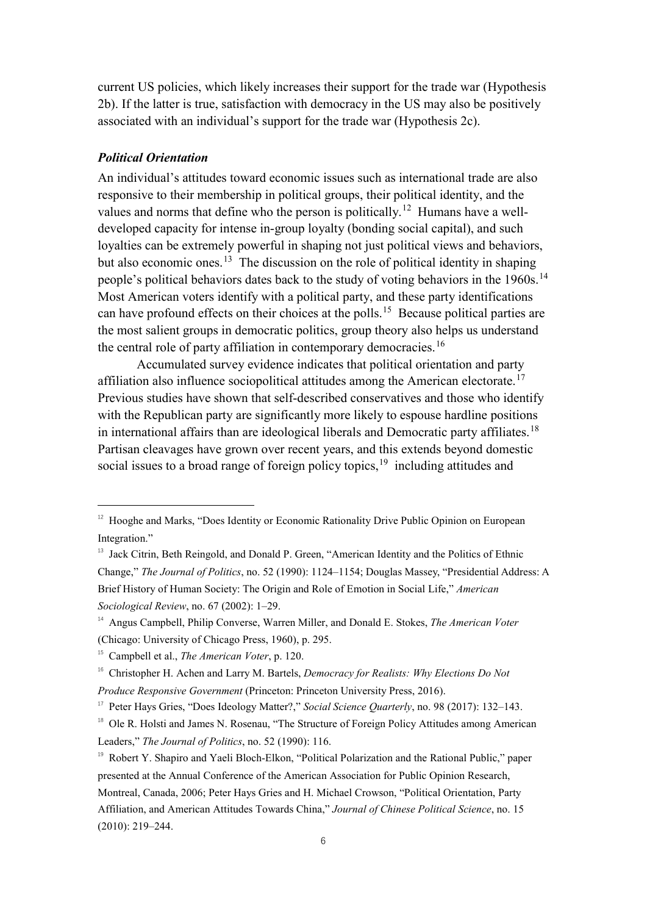current US policies, which likely increases their support for the trade war (Hypothesis 2b). If the latter is true, satisfaction with democracy in the US may also be positively associated with an individual's support for the trade war (Hypothesis 2c).

### *Political Orientation*

An individual's attitudes toward economic issues such as international trade are also responsive to their membership in political groups, their political identity, and the values and norms that define who the person is politically.<sup>[12](#page-6-0)</sup> Humans have a welldeveloped capacity for intense in-group loyalty (bonding social capital), and such loyalties can be extremely powerful in shaping not just political views and behaviors, but also economic ones.<sup>[13](#page-6-1)</sup> The discussion on the role of political identity in shaping people's political behaviors dates back to the study of voting behaviors in the 1960s.<sup>[14](#page-6-2)</sup> Most American voters identify with a political party, and these party identifications can have profound effects on their choices at the polls.[15](#page-6-3) Because political parties are the most salient groups in democratic politics, group theory also helps us understand the central role of party affiliation in contemporary democracies.<sup>[16](#page-6-4)</sup>

Accumulated survey evidence indicates that political orientation and party affiliation also influence sociopolitical attitudes among the American electorate.<sup>[17](#page-6-5)</sup> Previous studies have shown that self-described conservatives and those who identify with the Republican party are significantly more likely to espouse hardline positions in international affairs than are ideological liberals and Democratic party affiliates.<sup>[18](#page-6-6)</sup> Partisan cleavages have grown over recent years, and this extends beyond domestic social issues to a broad range of foreign policy topics,<sup>[19](#page-6-7)</sup> including attitudes and

<span id="page-6-0"></span> $12$  Hooghe and Marks, "Does Identity or Economic Rationality Drive Public Opinion on European Integration."

<span id="page-6-1"></span><sup>&</sup>lt;sup>13</sup> Jack Citrin, Beth Reingold, and Donald P. Green, "American Identity and the Politics of Ethnic Change," *The Journal of Politics*, no. 52 (1990): 1124–1154; Douglas Massey, "Presidential Address: A Brief History of Human Society: The Origin and Role of Emotion in Social Life," *American Sociological Review*, no. 67 (2002): 1–29.

<span id="page-6-2"></span><sup>14</sup> Angus Campbell, Philip Converse, Warren Miller, and Donald E. Stokes, *The American Voter* (Chicago: University of Chicago Press, 1960), p. 295.

<span id="page-6-3"></span><sup>15</sup> Campbell et al., *The American Voter*, p. 120.

<span id="page-6-4"></span><sup>16</sup> Christopher H. Achen and Larry M. Bartels, *Democracy for Realists: Why Elections Do Not Produce Responsive Government* (Princeton: Princeton University Press, 2016).

<span id="page-6-5"></span><sup>&</sup>lt;sup>17</sup> Peter Hays Gries, "Does Ideology Matter?," *Social Science Quarterly*, no. 98 (2017): 132–143.

<span id="page-6-6"></span><sup>&</sup>lt;sup>18</sup> Ole R. Holsti and James N. Rosenau, "The Structure of Foreign Policy Attitudes among American Leaders," *The Journal of Politics*, no. 52 (1990): 116.

<span id="page-6-7"></span><sup>&</sup>lt;sup>19</sup> Robert Y. Shapiro and Yaeli Bloch-Elkon, "Political Polarization and the Rational Public," paper presented at the Annual Conference of the American Association for Public Opinion Research, Montreal, Canada, 2006; Peter Hays Gries and H. Michael Crowson, "Political Orientation, Party Affiliation, and American Attitudes Towards China," *Journal of Chinese Political Science*, no. 15 (2010): 219–244.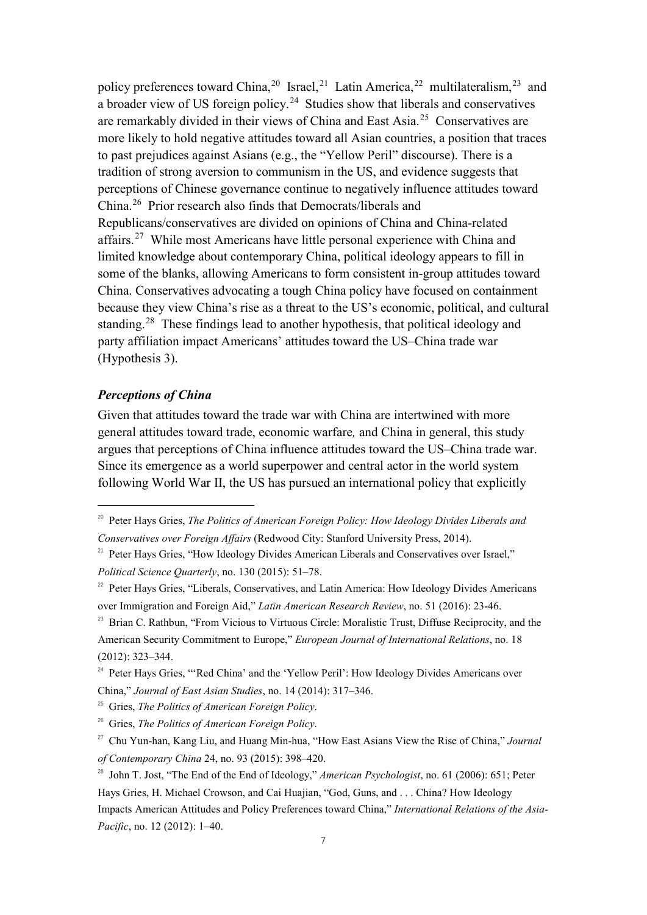policy preferences toward China,<sup>[20](#page-7-0)</sup> Israel,<sup>[21](#page-7-1)</sup> Latin America,<sup>[22](#page-7-2)</sup> multilateralism,<sup>[23](#page-7-3)</sup> and a broader view of US foreign policy.<sup>[24](#page-7-4)</sup> Studies show that liberals and conservatives are remarkably divided in their views of China and East Asia.[25](#page-7-5) Conservatives are more likely to hold negative attitudes toward all Asian countries, a position that traces to past prejudices against Asians (e.g., the "Yellow Peril" discourse). There is a tradition of strong aversion to communism in the US, and evidence suggests that perceptions of Chinese governance continue to negatively influence attitudes toward China. [26](#page-7-6) Prior research also finds that Democrats/liberals and Republicans/conservatives are divided on opinions of China and China-related affairs.<sup>[27](#page-7-7)</sup> While most Americans have little personal experience with China and limited knowledge about contemporary China, political ideology appears to fill in some of the blanks, allowing Americans to form consistent in-group attitudes toward China. Conservatives advocating a tough China policy have focused on containment because they view China's rise as a threat to the US's economic, political, and cultural standing.<sup>[28](#page-7-8)</sup> These findings lead to another hypothesis, that political ideology and party affiliation impact Americans' attitudes toward the US–China trade war (Hypothesis 3).

#### *Perceptions of China*

Given that attitudes toward the trade war with China are intertwined with more general attitudes toward trade, economic warfare*,* and China in general, this study argues that perceptions of China influence attitudes toward the US–China trade war. Since its emergence as a world superpower and central actor in the world system following World War II, the US has pursued an international policy that explicitly

<span id="page-7-0"></span> <sup>20</sup> Peter Hays Gries, *The Politics of American Foreign Policy: How Ideology Divides Liberals and Conservatives over Foreign Affairs* (Redwood City: Stanford University Press, 2014).

<span id="page-7-1"></span><sup>&</sup>lt;sup>21</sup> Peter Hays Gries, "How Ideology Divides American Liberals and Conservatives over Israel," *Political Science Quarterly*, no. 130 (2015): 51–78.

<span id="page-7-2"></span><sup>&</sup>lt;sup>22</sup> Peter Hays Gries, "Liberals, Conservatives, and Latin America: How Ideology Divides Americans over Immigration and Foreign Aid," *Latin American Research Review*, no. 51 (2016): 23-46.

<span id="page-7-3"></span><sup>&</sup>lt;sup>23</sup> Brian C. Rathbun, "From Vicious to Virtuous Circle: Moralistic Trust, Diffuse Reciprocity, and the American Security Commitment to Europe," *European Journal of International Relations*, no. 18 (2012): 323–344.

<span id="page-7-4"></span><sup>&</sup>lt;sup>24</sup> Peter Hays Gries, "'Red China' and the 'Yellow Peril': How Ideology Divides Americans over China," *Journal of East Asian Studies*, no. 14 (2014): 317–346.

<span id="page-7-5"></span><sup>25</sup> Gries, *The Politics of American Foreign Policy*.

<span id="page-7-6"></span><sup>26</sup> Gries, *The Politics of American Foreign Policy*.

<span id="page-7-7"></span><sup>27</sup> Chu Yun-han, Kang Liu, and Huang Min-hua, "How East Asians View the Rise of China," *Journal of Contemporary China* 24, no. 93 (2015): 398–420.

<span id="page-7-8"></span><sup>28</sup> John T. Jost, "The End of the End of Ideology," *American Psychologist*, no. 61 (2006): 651; Peter Hays Gries, H. Michael Crowson, and Cai Huajian, "God, Guns, and . . . China? How Ideology Impacts American Attitudes and Policy Preferences toward China," *International Relations of the Asia-Pacific*, no. 12 (2012): 1-40.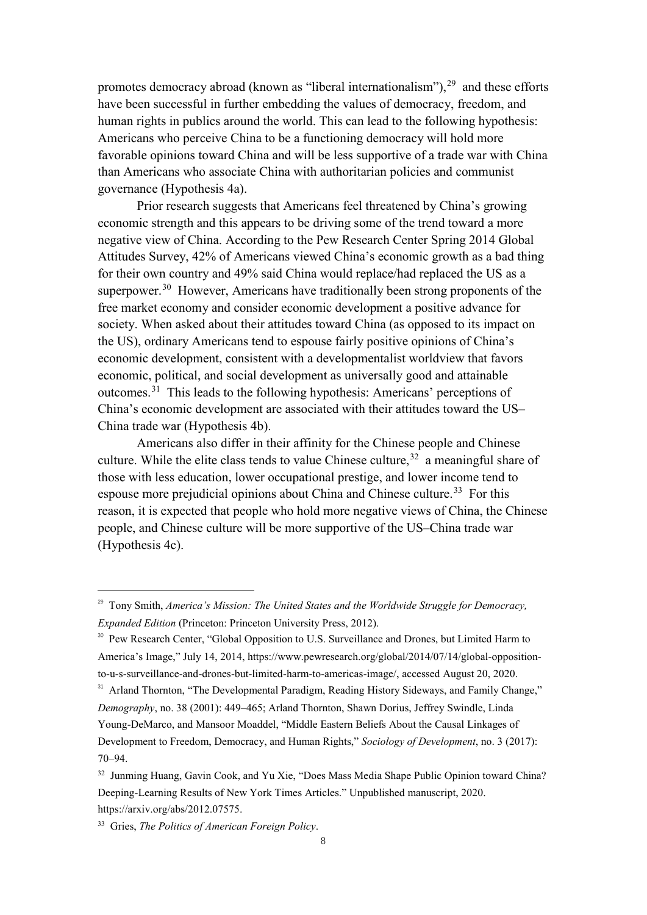promotes democracy abroad (known as "liberal internationalism"), $29$  and these efforts have been successful in further embedding the values of democracy, freedom, and human rights in publics around the world. This can lead to the following hypothesis: Americans who perceive China to be a functioning democracy will hold more favorable opinions toward China and will be less supportive of a trade war with China than Americans who associate China with authoritarian policies and communist governance (Hypothesis 4a).

Prior research suggests that Americans feel threatened by China's growing economic strength and this appears to be driving some of the trend toward a more negative view of China. According to the Pew Research Center Spring 2014 Global Attitudes Survey, 42% of Americans viewed China's economic growth as a bad thing for their own country and 49% said China would replace/had replaced the US as a superpower.<sup>[30](#page-8-1)</sup> However, Americans have traditionally been strong proponents of the free market economy and consider economic development a positive advance for society. When asked about their attitudes toward China (as opposed to its impact on the US), ordinary Americans tend to espouse fairly positive opinions of China's economic development, consistent with a developmentalist worldview that favors economic, political, and social development as universally good and attainable outcomes. [31](#page-8-2) This leads to the following hypothesis: Americans' perceptions of China's economic development are associated with their attitudes toward the US– China trade war (Hypothesis 4b).

Americans also differ in their affinity for the Chinese people and Chinese culture. While the elite class tends to value Chinese culture,  $32$  a meaningful share of those with less education, lower occupational prestige, and lower income tend to espouse more prejudicial opinions about China and Chinese culture.<sup>[33](#page-8-4)</sup> For this reason, it is expected that people who hold more negative views of China, the Chinese people, and Chinese culture will be more supportive of the US–China trade war (Hypothesis 4c).

<span id="page-8-0"></span> <sup>29</sup> Tony Smith, *America's Mission: The United States and the Worldwide Struggle for Democracy, Expanded Edition* (Princeton: Princeton University Press, 2012).

<span id="page-8-1"></span><sup>&</sup>lt;sup>30</sup> Pew Research Center, "Global Opposition to U.S. Surveillance and Drones, but Limited Harm to America's Image," July 14, 2014, https://www.pewresearch.org/global/2014/07/14/global-oppositionto-u-s-surveillance-and-drones-but-limited-harm-to-americas-image/, accessed August 20, 2020.

<span id="page-8-2"></span><sup>&</sup>lt;sup>31</sup> Arland Thornton, "The Developmental Paradigm, Reading History Sideways, and Family Change," *Demography*, no. 38 (2001): 449–465; Arland Thornton, Shawn Dorius, Jeffrey Swindle, Linda Young-DeMarco, and Mansoor Moaddel, "Middle Eastern Beliefs About the Causal Linkages of Development to Freedom, Democracy, and Human Rights," *Sociology of Development*, no. 3 (2017): 70–94.

<span id="page-8-3"></span><sup>&</sup>lt;sup>32</sup> Junming Huang, Gavin Cook, and Yu Xie, "Does Mass Media Shape Public Opinion toward China? Deeping-Learning Results of New York Times Articles." Unpublished manuscript, 2020. https://arxiv.org/abs/2012.07575.

<span id="page-8-4"></span><sup>33</sup> Gries, *The Politics of American Foreign Policy*.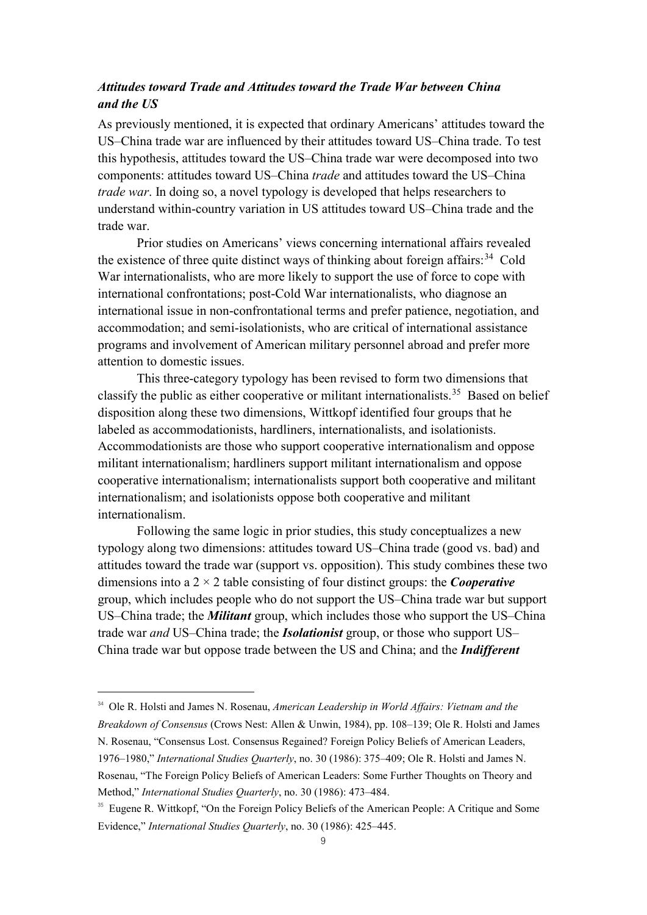## *Attitudes toward Trade and Attitudes toward the Trade War between China and the US*

As previously mentioned, it is expected that ordinary Americans' attitudes toward the US–China trade war are influenced by their attitudes toward US–China trade. To test this hypothesis, attitudes toward the US–China trade war were decomposed into two components: attitudes toward US–China *trade* and attitudes toward the US–China *trade war*. In doing so, a novel typology is developed that helps researchers to understand within-country variation in US attitudes toward US–China trade and the trade war.

Prior studies on Americans' views concerning international affairs revealed the existence of three quite distinct ways of thinking about foreign affairs:<sup>[34](#page-9-0)</sup> Cold War internationalists, who are more likely to support the use of force to cope with international confrontations; post-Cold War internationalists, who diagnose an international issue in non-confrontational terms and prefer patience, negotiation, and accommodation; and semi-isolationists, who are critical of international assistance programs and involvement of American military personnel abroad and prefer more attention to domestic issues.

This three-category typology has been revised to form two dimensions that classify the public as either cooperative or militant internationalists.<sup>[35](#page-9-1)</sup> Based on belief disposition along these two dimensions, Wittkopf identified four groups that he labeled as accommodationists, hardliners, internationalists, and isolationists. Accommodationists are those who support cooperative internationalism and oppose militant internationalism; hardliners support militant internationalism and oppose cooperative internationalism; internationalists support both cooperative and militant internationalism; and isolationists oppose both cooperative and militant internationalism.

Following the same logic in prior studies, this study conceptualizes a new typology along two dimensions: attitudes toward US–China trade (good vs. bad) and attitudes toward the trade war (support vs. opposition). This study combines these two dimensions into a 2 × 2 table consisting of four distinct groups: the *Cooperative* group, which includes people who do not support the US–China trade war but support US–China trade; the *Militant* group, which includes those who support the US–China trade war *and* US–China trade; the *Isolationist* group, or those who support US– China trade war but oppose trade between the US and China; and the *Indifferent*

<span id="page-9-0"></span><sup>&</sup>lt;sup>34</sup> Ole R. Holsti and James N. Rosenau, *American Leadership in World Affairs: Vietnam and the Breakdown of Consensus* (Crows Nest: Allen & Unwin, 1984), pp. 108–139; Ole R. Holsti and James N. Rosenau, "Consensus Lost. Consensus Regained? Foreign Policy Beliefs of American Leaders, 1976–1980," *International Studies Quarterly*, no. 30 (1986): 375–409; Ole R. Holsti and James N. Rosenau, "The Foreign Policy Beliefs of American Leaders: Some Further Thoughts on Theory and Method," *International Studies Quarterly*, no. 30 (1986): 473–484.

<span id="page-9-1"></span><sup>&</sup>lt;sup>35</sup> Eugene R. Wittkopf, "On the Foreign Policy Beliefs of the American People: A Critique and Some Evidence," *International Studies Quarterly*, no. 30 (1986): 425–445.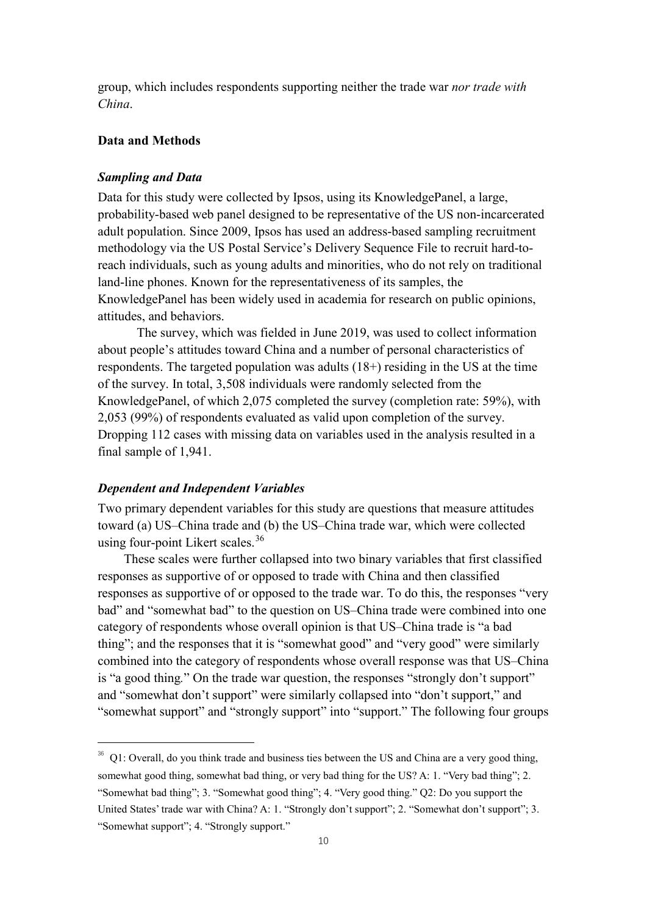group, which includes respondents supporting neither the trade war *nor trade with China*.

#### **Data and Methods**

#### *Sampling and Data*

Data for this study were collected by Ipsos, using its KnowledgePanel, a large, probability-based web panel designed to be representative of the US non-incarcerated adult population. Since 2009, Ipsos has used an address-based sampling recruitment methodology via the US Postal Service's Delivery Sequence File to recruit hard-toreach individuals, such as young adults and minorities, who do not rely on traditional land-line phones. Known for the representativeness of its samples, the KnowledgePanel has been widely used in academia for research on public opinions, attitudes, and behaviors.

The survey, which was fielded in June 2019, was used to collect information about people's attitudes toward China and a number of personal characteristics of respondents. The targeted population was adults (18+) residing in the US at the time of the survey. In total, 3,508 individuals were randomly selected from the KnowledgePanel, of which 2,075 completed the survey (completion rate: 59%), with 2,053 (99%) of respondents evaluated as valid upon completion of the survey. Dropping 112 cases with missing data on variables used in the analysis resulted in a final sample of 1,941.

### *Dependent and Independent Variables*

Two primary dependent variables for this study are questions that measure attitudes toward (a) US–China trade and (b) the US–China trade war, which were collected using four-point Likert scales.<sup>[36](#page-10-0)</sup>

These scales were further collapsed into two binary variables that first classified responses as supportive of or opposed to trade with China and then classified responses as supportive of or opposed to the trade war. To do this, the responses "very bad" and "somewhat bad" to the question on US–China trade were combined into one category of respondents whose overall opinion is that US–China trade is "a bad thing"; and the responses that it is "somewhat good" and "very good" were similarly combined into the category of respondents whose overall response was that US–China is "a good thing*.*" On the trade war question, the responses "strongly don't support" and "somewhat don't support" were similarly collapsed into "don't support," and "somewhat support" and "strongly support" into "support." The following four groups

<span id="page-10-0"></span> $36$  O1: Overall, do you think trade and business ties between the US and China are a very good thing, somewhat good thing, somewhat bad thing, or very bad thing for the US? A: 1. "Very bad thing"; 2. "Somewhat bad thing"; 3. "Somewhat good thing"; 4. "Very good thing." Q2: Do you support the United States' trade war with China? A: 1. "Strongly don't support"; 2. "Somewhat don't support"; 3. "Somewhat support"; 4. "Strongly support."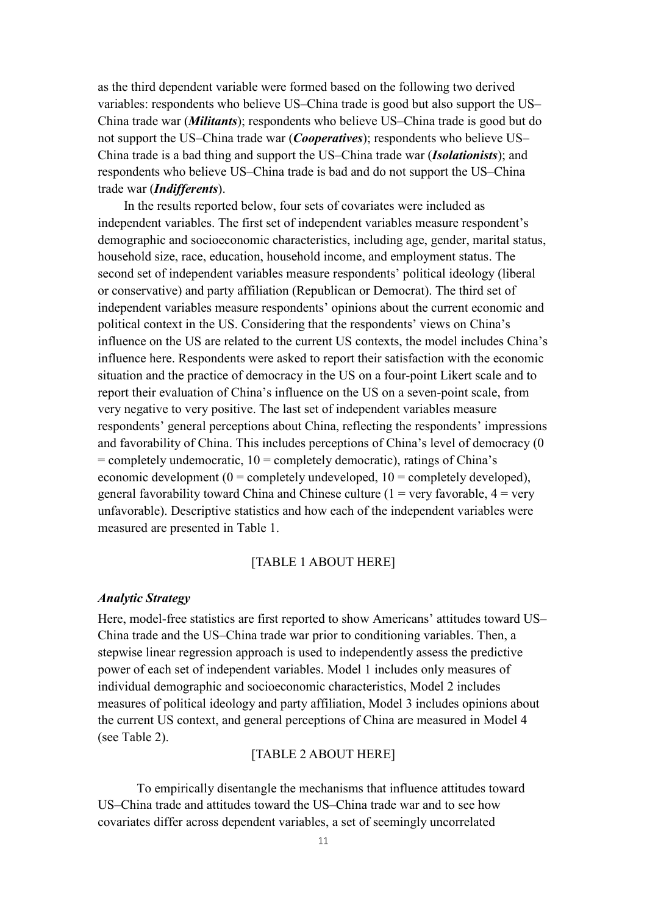as the third dependent variable were formed based on the following two derived variables: respondents who believe US–China trade is good but also support the US– China trade war (*Militants*); respondents who believe US–China trade is good but do not support the US–China trade war (*Cooperatives*); respondents who believe US– China trade is a bad thing and support the US–China trade war (*Isolationists*); and respondents who believe US–China trade is bad and do not support the US–China trade war (*Indifferents*).

In the results reported below, four sets of covariates were included as independent variables. The first set of independent variables measure respondent's demographic and socioeconomic characteristics, including age, gender, marital status, household size, race, education, household income, and employment status. The second set of independent variables measure respondents' political ideology (liberal or conservative) and party affiliation (Republican or Democrat). The third set of independent variables measure respondents' opinions about the current economic and political context in the US. Considering that the respondents' views on China's influence on the US are related to the current US contexts, the model includes China's influence here. Respondents were asked to report their satisfaction with the economic situation and the practice of democracy in the US on a four-point Likert scale and to report their evaluation of China's influence on the US on a seven-point scale, from very negative to very positive. The last set of independent variables measure respondents' general perceptions about China, reflecting the respondents' impressions and favorability of China. This includes perceptions of China's level of democracy (0  $=$  completely undemocratic,  $10 =$  completely democratic), ratings of China's economic development ( $0 =$  completely undeveloped,  $10 =$  completely developed), general favorability toward China and Chinese culture  $(1 = \text{very favorable}, 4 = \text{very}$ unfavorable). Descriptive statistics and how each of the independent variables were measured are presented in Table 1.

## [TABLE 1 ABOUT HERE]

#### *Analytic Strategy*

Here, model-free statistics are first reported to show Americans' attitudes toward US– China trade and the US–China trade war prior to conditioning variables. Then, a stepwise linear regression approach is used to independently assess the predictive power of each set of independent variables. Model 1 includes only measures of individual demographic and socioeconomic characteristics, Model 2 includes measures of political ideology and party affiliation, Model 3 includes opinions about the current US context, and general perceptions of China are measured in Model 4 (see Table 2).

## [TABLE 2 ABOUT HERE]

To empirically disentangle the mechanisms that influence attitudes toward US–China trade and attitudes toward the US–China trade war and to see how covariates differ across dependent variables, a set of seemingly uncorrelated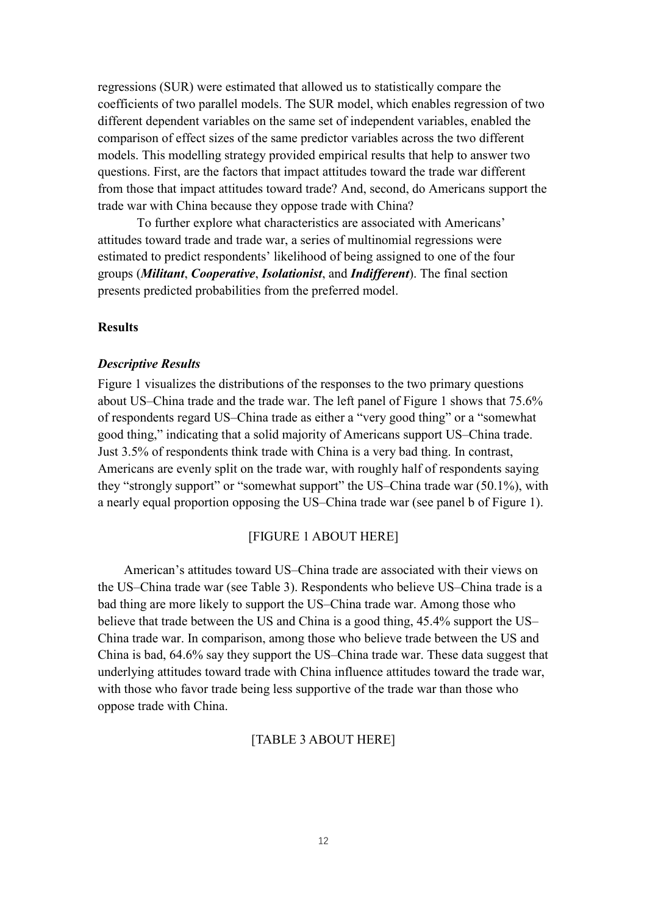regressions (SUR) were estimated that allowed us to statistically compare the coefficients of two parallel models. The SUR model, which enables regression of two different dependent variables on the same set of independent variables, enabled the comparison of effect sizes of the same predictor variables across the two different models. This modelling strategy provided empirical results that help to answer two questions. First, are the factors that impact attitudes toward the trade war different from those that impact attitudes toward trade? And, second, do Americans support the trade war with China because they oppose trade with China?

To further explore what characteristics are associated with Americans' attitudes toward trade and trade war, a series of multinomial regressions were estimated to predict respondents' likelihood of being assigned to one of the four groups (*Militant*, *Cooperative*, *Isolationist*, and *Indifferent*). The final section presents predicted probabilities from the preferred model.

## **Results**

#### *Descriptive Results*

Figure 1 visualizes the distributions of the responses to the two primary questions about US–China trade and the trade war. The left panel of Figure 1 shows that 75.6% of respondents regard US–China trade as either a "very good thing" or a "somewhat good thing," indicating that a solid majority of Americans support US–China trade. Just 3.5% of respondents think trade with China is a very bad thing. In contrast, Americans are evenly split on the trade war, with roughly half of respondents saying they "strongly support" or "somewhat support" the US–China trade war (50.1%), with a nearly equal proportion opposing the US–China trade war (see panel b of Figure 1).

#### [FIGURE 1 ABOUT HERE]

American's attitudes toward US–China trade are associated with their views on the US–China trade war (see Table 3). Respondents who believe US–China trade is a bad thing are more likely to support the US–China trade war. Among those who believe that trade between the US and China is a good thing, 45.4% support the US– China trade war. In comparison, among those who believe trade between the US and China is bad, 64.6% say they support the US–China trade war. These data suggest that underlying attitudes toward trade with China influence attitudes toward the trade war, with those who favor trade being less supportive of the trade war than those who oppose trade with China.

#### [TABLE 3 ABOUT HERE]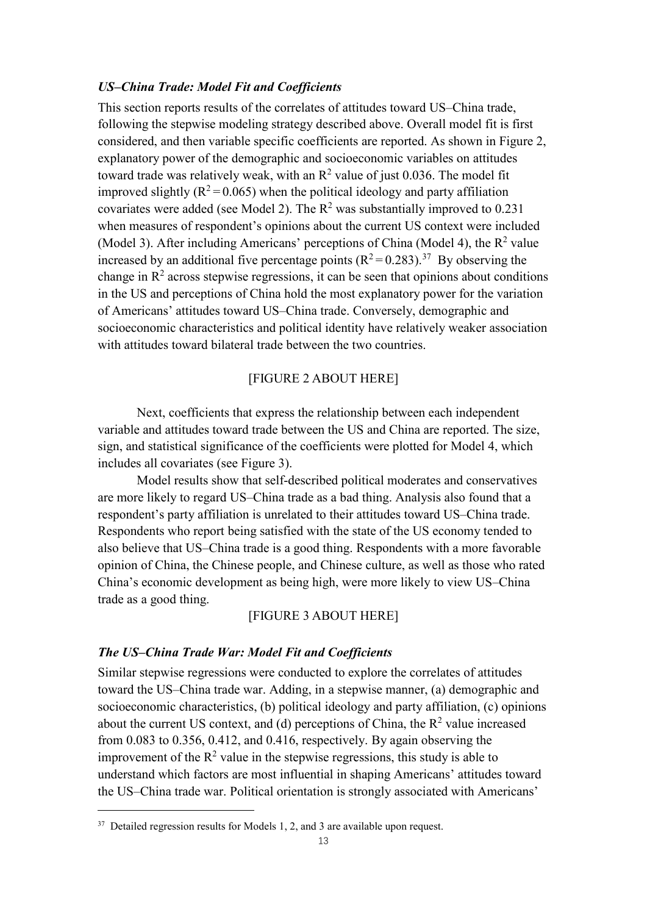### *US–China Trade: Model Fit and Coefficients*

This section reports results of the correlates of attitudes toward US–China trade, following the stepwise modeling strategy described above. Overall model fit is first considered, and then variable specific coefficients are reported. As shown in Figure 2, explanatory power of the demographic and socioeconomic variables on attitudes toward trade was relatively weak, with an  $\mathbb{R}^2$  value of just 0.036. The model fit improved slightly ( $R^2$  = 0.065) when the political ideology and party affiliation covariates were added (see Model 2). The  $R^2$  was substantially improved to 0.231 when measures of respondent's opinions about the current US context were included (Model 3). After including Americans' perceptions of China (Model 4), the  $R^2$  value increased by an additional five percentage points  $(R^2 = 0.283)$ .<sup>[37](#page-13-0)</sup> By observing the change in  $\mathbb{R}^2$  across stepwise regressions, it can be seen that opinions about conditions in the US and perceptions of China hold the most explanatory power for the variation of Americans' attitudes toward US–China trade. Conversely, demographic and socioeconomic characteristics and political identity have relatively weaker association with attitudes toward bilateral trade between the two countries.

## [FIGURE 2 ABOUT HERE]

Next, coefficients that express the relationship between each independent variable and attitudes toward trade between the US and China are reported. The size, sign, and statistical significance of the coefficients were plotted for Model 4, which includes all covariates (see Figure 3).

Model results show that self-described political moderates and conservatives are more likely to regard US–China trade as a bad thing. Analysis also found that a respondent's party affiliation is unrelated to their attitudes toward US–China trade. Respondents who report being satisfied with the state of the US economy tended to also believe that US–China trade is a good thing. Respondents with a more favorable opinion of China, the Chinese people, and Chinese culture, as well as those who rated China's economic development as being high, were more likely to view US–China trade as a good thing.

## [FIGURE 3 ABOUT HERE]

#### *The US–China Trade War: Model Fit and Coefficients*

Similar stepwise regressions were conducted to explore the correlates of attitudes toward the US–China trade war. Adding, in a stepwise manner, (a) demographic and socioeconomic characteristics, (b) political ideology and party affiliation, (c) opinions about the current US context, and (d) perceptions of China, the  $R^2$  value increased from 0.083 to 0.356, 0.412, and 0.416, respectively. By again observing the improvement of the  $R^2$  value in the stepwise regressions, this study is able to understand which factors are most influential in shaping Americans' attitudes toward the US–China trade war. Political orientation is strongly associated with Americans'

-

<span id="page-13-0"></span> $37$  Detailed regression results for Models 1, 2, and 3 are available upon request.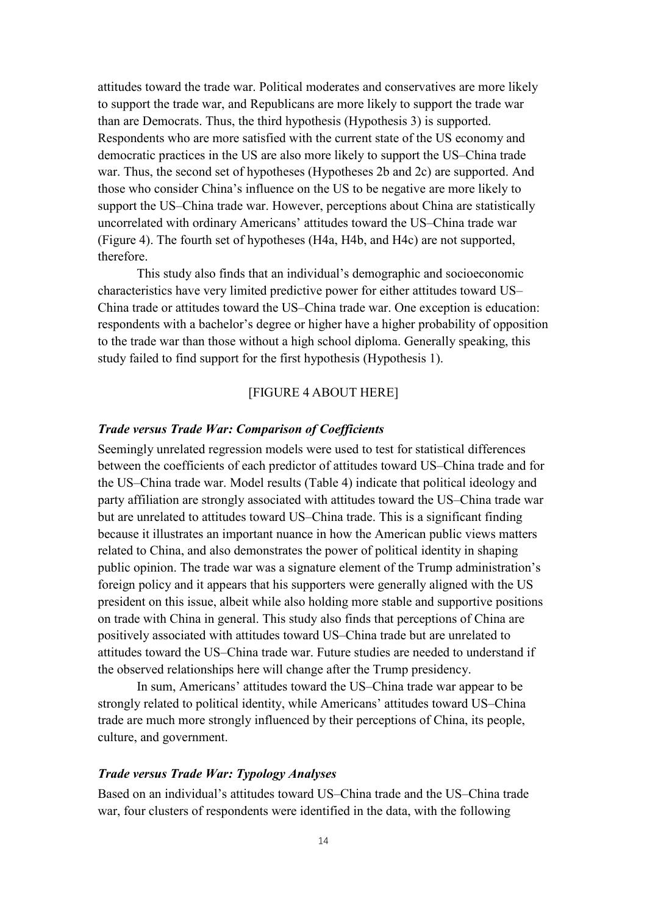attitudes toward the trade war. Political moderates and conservatives are more likely to support the trade war, and Republicans are more likely to support the trade war than are Democrats. Thus, the third hypothesis (Hypothesis 3) is supported. Respondents who are more satisfied with the current state of the US economy and democratic practices in the US are also more likely to support the US–China trade war. Thus, the second set of hypotheses (Hypotheses 2b and 2c) are supported. And those who consider China's influence on the US to be negative are more likely to support the US–China trade war. However, perceptions about China are statistically uncorrelated with ordinary Americans' attitudes toward the US–China trade war (Figure 4). The fourth set of hypotheses (H4a, H4b, and H4c) are not supported, therefore.

This study also finds that an individual's demographic and socioeconomic characteristics have very limited predictive power for either attitudes toward US– China trade or attitudes toward the US–China trade war. One exception is education: respondents with a bachelor's degree or higher have a higher probability of opposition to the trade war than those without a high school diploma. Generally speaking, this study failed to find support for the first hypothesis (Hypothesis 1).

#### [FIGURE 4 ABOUT HERE]

## *Trade versus Trade War: Comparison of Coefficients*

Seemingly unrelated regression models were used to test for statistical differences between the coefficients of each predictor of attitudes toward US–China trade and for the US–China trade war. Model results (Table 4) indicate that political ideology and party affiliation are strongly associated with attitudes toward the US–China trade war but are unrelated to attitudes toward US–China trade. This is a significant finding because it illustrates an important nuance in how the American public views matters related to China, and also demonstrates the power of political identity in shaping public opinion. The trade war was a signature element of the Trump administration's foreign policy and it appears that his supporters were generally aligned with the US president on this issue, albeit while also holding more stable and supportive positions on trade with China in general. This study also finds that perceptions of China are positively associated with attitudes toward US–China trade but are unrelated to attitudes toward the US–China trade war. Future studies are needed to understand if the observed relationships here will change after the Trump presidency.

In sum, Americans' attitudes toward the US–China trade war appear to be strongly related to political identity, while Americans' attitudes toward US–China trade are much more strongly influenced by their perceptions of China, its people, culture, and government.

## *Trade versus Trade War: Typology Analyses*

Based on an individual's attitudes toward US–China trade and the US–China trade war, four clusters of respondents were identified in the data, with the following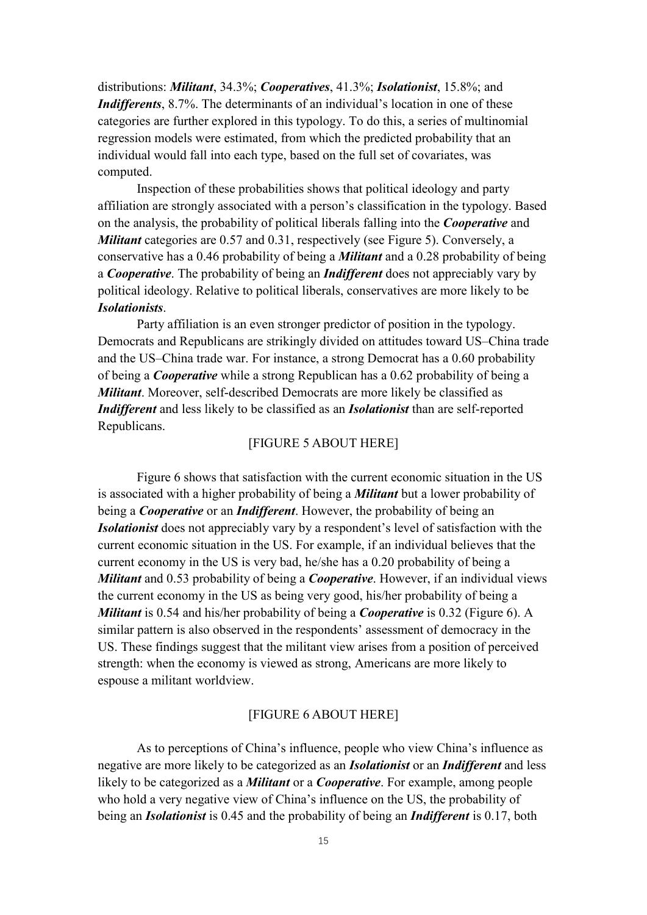distributions: *Militant*, 34.3%; *Cooperatives*, 41.3%; *Isolationist*, 15.8%; and *Indifferents*, 8.7%. The determinants of an individual's location in one of these categories are further explored in this typology. To do this, a series of multinomial regression models were estimated, from which the predicted probability that an individual would fall into each type, based on the full set of covariates, was computed.

Inspection of these probabilities shows that political ideology and party affiliation are strongly associated with a person's classification in the typology. Based on the analysis, the probability of political liberals falling into the *Cooperative* and *Militant* categories are 0.57 and 0.31, respectively (see Figure 5). Conversely, a conservative has a 0.46 probability of being a *Militant* and a 0.28 probability of being a *Cooperative*. The probability of being an *Indifferent* does not appreciably vary by political ideology. Relative to political liberals, conservatives are more likely to be *Isolationists*.

Party affiliation is an even stronger predictor of position in the typology. Democrats and Republicans are strikingly divided on attitudes toward US–China trade and the US–China trade war. For instance, a strong Democrat has a 0.60 probability of being a *Cooperative* while a strong Republican has a 0.62 probability of being a *Militant*. Moreover, self-described Democrats are more likely be classified as *Indifferent* and less likely to be classified as an *Isolationist* than are self-reported Republicans.

### [FIGURE 5 ABOUT HERE]

Figure 6 shows that satisfaction with the current economic situation in the US is associated with a higher probability of being a *Militant* but a lower probability of being a *Cooperative* or an *Indifferent*. However, the probability of being an *Isolationist* does not appreciably vary by a respondent's level of satisfaction with the current economic situation in the US. For example, if an individual believes that the current economy in the US is very bad, he/she has a 0.20 probability of being a *Militant* and 0.53 probability of being a *Cooperative*. However, if an individual views the current economy in the US as being very good, his/her probability of being a *Militant* is 0.54 and his/her probability of being a *Cooperative* is 0.32 (Figure 6). A similar pattern is also observed in the respondents' assessment of democracy in the US. These findings suggest that the militant view arises from a position of perceived strength: when the economy is viewed as strong, Americans are more likely to espouse a militant worldview.

### [FIGURE 6 ABOUT HERE]

As to perceptions of China's influence, people who view China's influence as negative are more likely to be categorized as an *Isolationist* or an *Indifferent* and less likely to be categorized as a *Militant* or a *Cooperative*. For example, among people who hold a very negative view of China's influence on the US, the probability of being an *Isolationist* is 0.45 and the probability of being an *Indifferent* is 0.17, both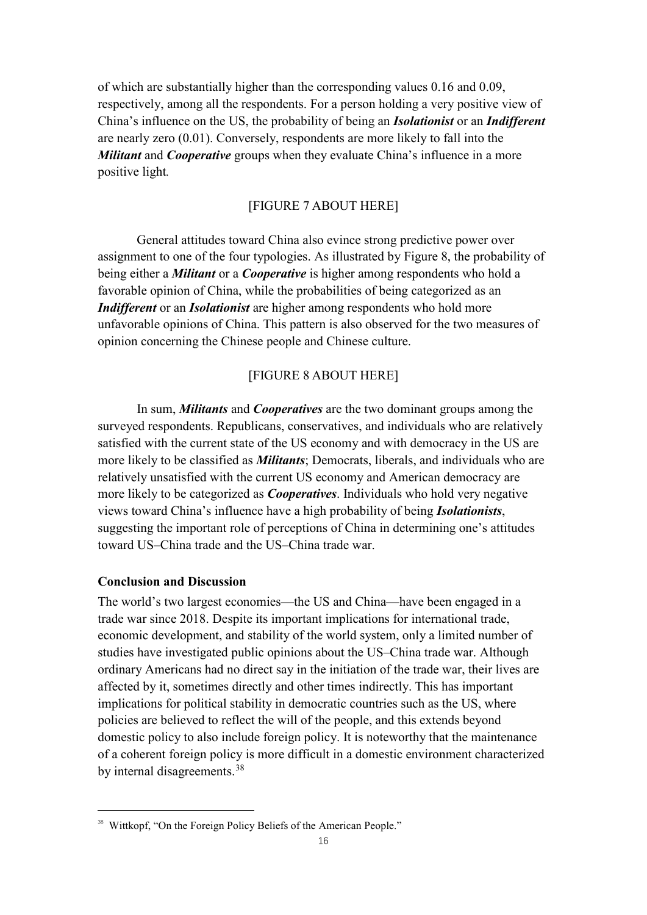of which are substantially higher than the corresponding values 0.16 and 0.09, respectively, among all the respondents. For a person holding a very positive view of China's influence on the US, the probability of being an *Isolationist* or an *Indifferent*  are nearly zero (0.01). Conversely, respondents are more likely to fall into the *Militant* and *Cooperative* groups when they evaluate China's influence in a more positive light*.*

## [FIGURE 7 ABOUT HERE]

General attitudes toward China also evince strong predictive power over assignment to one of the four typologies. As illustrated by Figure 8, the probability of being either a *Militant* or a *Cooperative* is higher among respondents who hold a favorable opinion of China, while the probabilities of being categorized as an *Indifferent* or an *Isolationist* are higher among respondents who hold more unfavorable opinions of China. This pattern is also observed for the two measures of opinion concerning the Chinese people and Chinese culture.

## [FIGURE 8 ABOUT HERE]

In sum, *Militants* and *Cooperatives* are the two dominant groups among the surveyed respondents. Republicans, conservatives, and individuals who are relatively satisfied with the current state of the US economy and with democracy in the US are more likely to be classified as *Militants*; Democrats, liberals, and individuals who are relatively unsatisfied with the current US economy and American democracy are more likely to be categorized as *Cooperatives*. Individuals who hold very negative views toward China's influence have a high probability of being *Isolationists*, suggesting the important role of perceptions of China in determining one's attitudes toward US–China trade and the US–China trade war.

## **Conclusion and Discussion**

The world's two largest economies—the US and China—have been engaged in a trade war since 2018. Despite its important implications for international trade, economic development, and stability of the world system, only a limited number of studies have investigated public opinions about the US–China trade war. Although ordinary Americans had no direct say in the initiation of the trade war, their lives are affected by it, sometimes directly and other times indirectly. This has important implications for political stability in democratic countries such as the US, where policies are believed to reflect the will of the people, and this extends beyond domestic policy to also include foreign policy. It is noteworthy that the maintenance of a coherent foreign policy is more difficult in a domestic environment characterized by internal disagreements.<sup>[38](#page-16-0)</sup>

<span id="page-16-0"></span><sup>&</sup>lt;sup>38</sup> Wittkopf, "On the Foreign Policy Beliefs of the American People."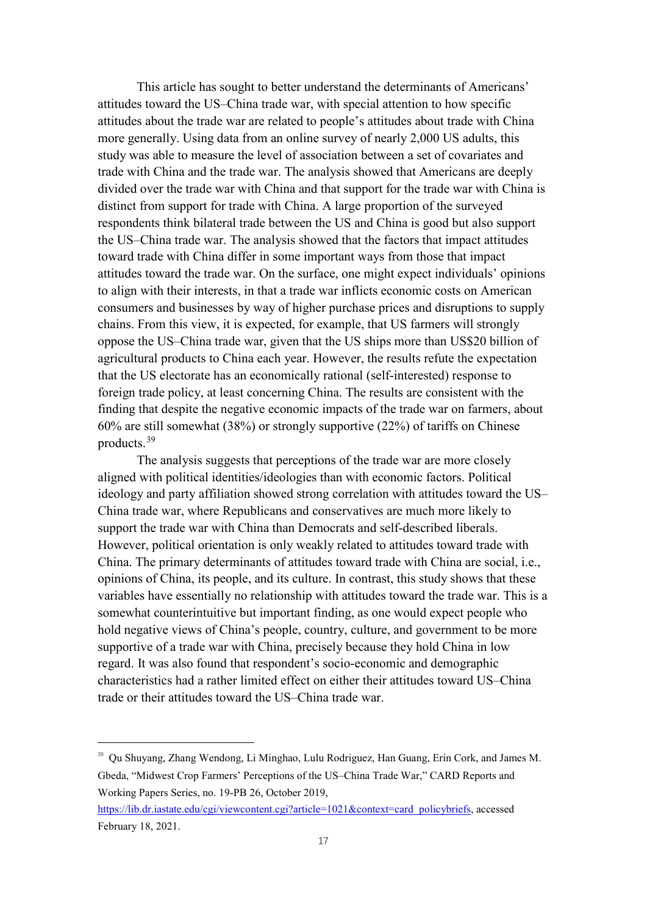This article has sought to better understand the determinants of Americans' attitudes toward the US–China trade war, with special attention to how specific attitudes about the trade war are related to people's attitudes about trade with China more generally. Using data from an online survey of nearly 2,000 US adults, this study was able to measure the level of association between a set of covariates and trade with China and the trade war. The analysis showed that Americans are deeply divided over the trade war with China and that support for the trade war with China is distinct from support for trade with China. A large proportion of the surveyed respondents think bilateral trade between the US and China is good but also support the US–China trade war. The analysis showed that the factors that impact attitudes toward trade with China differ in some important ways from those that impact attitudes toward the trade war. On the surface, one might expect individuals' opinions to align with their interests, in that a trade war inflicts economic costs on American consumers and businesses by way of higher purchase prices and disruptions to supply chains. From this view, it is expected, for example, that US farmers will strongly oppose the US–China trade war, given that the US ships more than US\$20 billion of agricultural products to China each year. However, the results refute the expectation that the US electorate has an economically rational (self-interested) response to foreign trade policy, at least concerning China. The results are consistent with the finding that despite the negative economic impacts of the trade war on farmers, about 60% are still somewhat (38%) or strongly supportive (22%) of tariffs on Chinese products.[39](#page-17-0)

The analysis suggests that perceptions of the trade war are more closely aligned with political identities/ideologies than with economic factors. Political ideology and party affiliation showed strong correlation with attitudes toward the US– China trade war, where Republicans and conservatives are much more likely to support the trade war with China than Democrats and self-described liberals. However, political orientation is only weakly related to attitudes toward trade with China. The primary determinants of attitudes toward trade with China are social, i.e., opinions of China, its people, and its culture. In contrast, this study shows that these variables have essentially no relationship with attitudes toward the trade war. This is a somewhat counterintuitive but important finding, as one would expect people who hold negative views of China's people, country, culture, and government to be more supportive of a trade war with China, precisely because they hold China in low regard. It was also found that respondent's socio-economic and demographic characteristics had a rather limited effect on either their attitudes toward US–China trade or their attitudes toward the US–China trade war.

<span id="page-17-0"></span> <sup>39</sup> Qu Shuyang, Zhang Wendong, Li Minghao, Lulu Rodriguez, Han Guang, Erin Cork, and James M. Gbeda, "Midwest Crop Farmers' Perceptions of the US–China Trade War," CARD Reports and Working Papers Series, no. 19-PB 26, October 2019,

[https://lib.dr.iastate.edu/cgi/viewcontent.cgi?article=1021&context=card\\_policybriefs,](https://lib.dr.iastate.edu/cgi/viewcontent.cgi?article=1021&context=card_policybriefs) accessed February 18, 2021.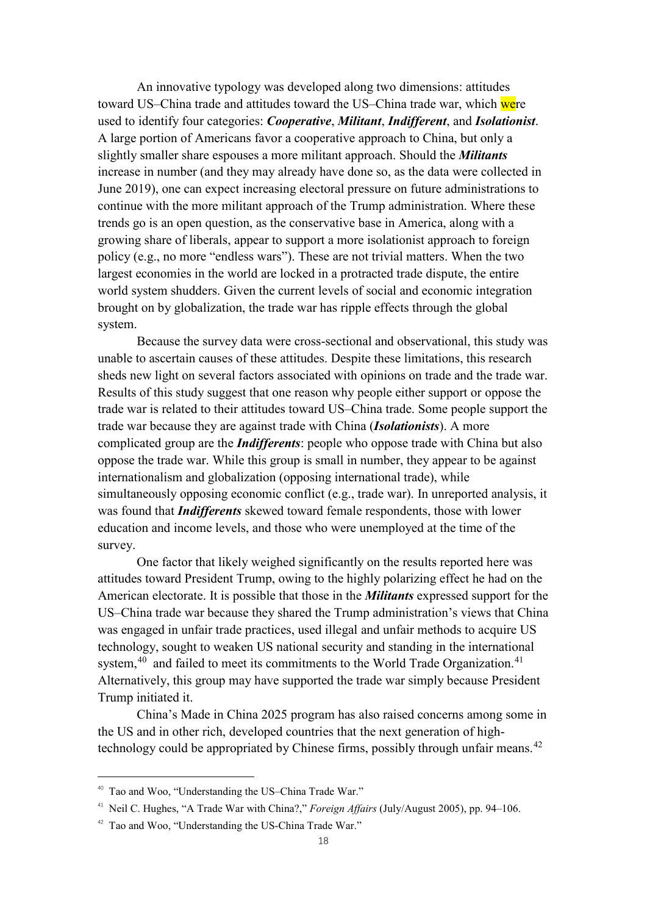An innovative typology was developed along two dimensions: attitudes toward US–China trade and attitudes toward the US–China trade war, which were used to identify four categories: *Cooperative*, *Militant*, *Indifferent*, and *Isolationist*. A large portion of Americans favor a cooperative approach to China, but only a slightly smaller share espouses a more militant approach. Should the *Militants* increase in number (and they may already have done so, as the data were collected in June 2019), one can expect increasing electoral pressure on future administrations to continue with the more militant approach of the Trump administration. Where these trends go is an open question, as the conservative base in America, along with a growing share of liberals, appear to support a more isolationist approach to foreign policy (e.g., no more "endless wars"). These are not trivial matters. When the two largest economies in the world are locked in a protracted trade dispute, the entire world system shudders. Given the current levels of social and economic integration brought on by globalization, the trade war has ripple effects through the global system.

Because the survey data were cross-sectional and observational, this study was unable to ascertain causes of these attitudes. Despite these limitations, this research sheds new light on several factors associated with opinions on trade and the trade war. Results of this study suggest that one reason why people either support or oppose the trade war is related to their attitudes toward US–China trade. Some people support the trade war because they are against trade with China (*Isolationists*). A more complicated group are the *Indifferents*: people who oppose trade with China but also oppose the trade war. While this group is small in number, they appear to be against internationalism and globalization (opposing international trade), while simultaneously opposing economic conflict (e.g., trade war). In unreported analysis, it was found that *Indifferents* skewed toward female respondents, those with lower education and income levels, and those who were unemployed at the time of the survey.

One factor that likely weighed significantly on the results reported here was attitudes toward President Trump, owing to the highly polarizing effect he had on the American electorate. It is possible that those in the *Militants* expressed support for the US–China trade war because they shared the Trump administration's views that China was engaged in unfair trade practices, used illegal and unfair methods to acquire US technology, sought to weaken US national security and standing in the international system,<sup>[40](#page-18-0)</sup> and failed to meet its commitments to the World Trade Organization.<sup>[41](#page-18-1)</sup> Alternatively, this group may have supported the trade war simply because President Trump initiated it.

China's Made in China 2025 program has also raised concerns among some in the US and in other rich, developed countries that the next generation of high-technology could be appropriated by Chinese firms, possibly through unfair means.<sup>[42](#page-18-2)</sup>

<span id="page-18-0"></span> <sup>40</sup> Tao and Woo, "Understanding the US–China Trade War."

<span id="page-18-1"></span><sup>&</sup>lt;sup>41</sup> Neil C. Hughes, "A Trade War with China?," *Foreign Affairs* (July/August 2005), pp. 94–106.

<span id="page-18-2"></span><sup>42</sup> Tao and Woo, "Understanding the US-China Trade War."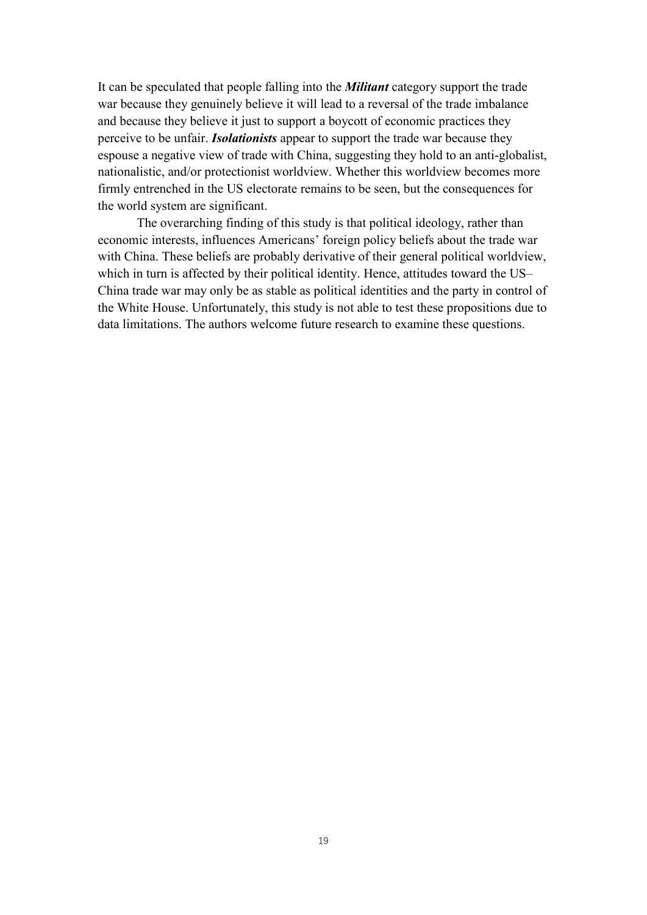It can be speculated that people falling into the *Militant* category support the trade war because they genuinely believe it will lead to a reversal of the trade imbalance and because they believe it just to support a boycott of economic practices they perceive to be unfair. *Isolationists* appear to support the trade war because they espouse a negative view of trade with China, suggesting they hold to an anti-globalist, nationalistic, and/or protectionist worldview. Whether this worldview becomes more firmly entrenched in the US electorate remains to be seen, but the consequences for the world system are significant.

The overarching finding of this study is that political ideology, rather than economic interests, influences Americans' foreign policy beliefs about the trade war with China. These beliefs are probably derivative of their general political worldview, which in turn is affected by their political identity. Hence, attitudes toward the US– China trade war may only be as stable as political identities and the party in control of the White House. Unfortunately, this study is not able to test these propositions due to data limitations. The authors welcome future research to examine these questions.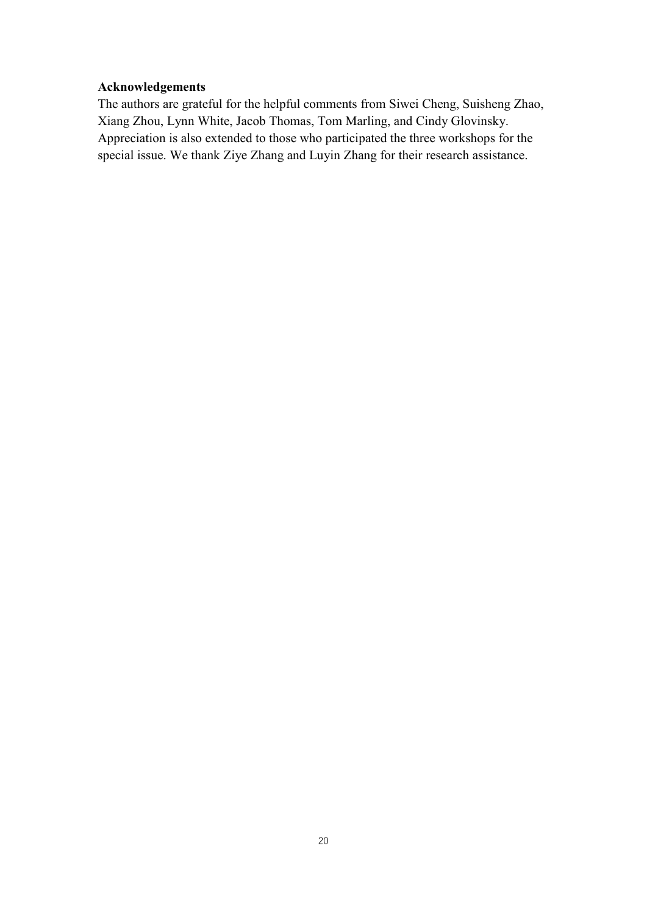## **Acknowledgements**

The authors are grateful for the helpful comments from Siwei Cheng, Suisheng Zhao, Xiang Zhou, Lynn White, Jacob Thomas, Tom Marling, and Cindy Glovinsky. Appreciation is also extended to those who participated the three workshops for the special issue. We thank Ziye Zhang and Luyin Zhang for their research assistance.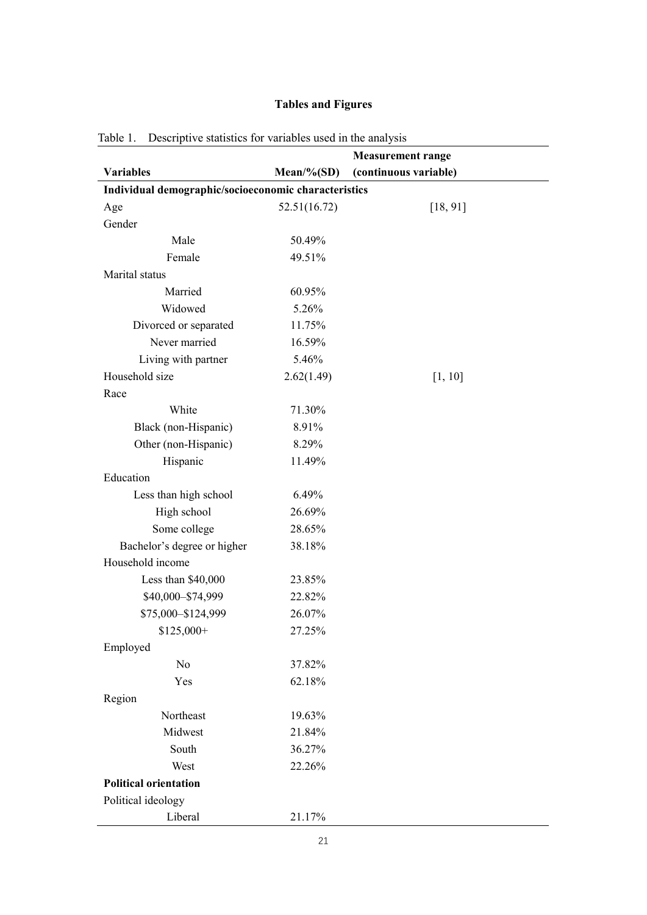## **Tables and Figures**

|                                                      |               | <b>Measurement range</b> |  |  |  |
|------------------------------------------------------|---------------|--------------------------|--|--|--|
| <b>Variables</b>                                     | $Mean\% (SD)$ | (continuous variable)    |  |  |  |
| Individual demographic/socioeconomic characteristics |               |                          |  |  |  |
| Age                                                  | 52.51(16.72)  | [18, 91]                 |  |  |  |
| Gender                                               |               |                          |  |  |  |
| Male                                                 | 50.49%        |                          |  |  |  |
| Female                                               | 49.51%        |                          |  |  |  |
| Marital status                                       |               |                          |  |  |  |
| Married                                              | 60.95%        |                          |  |  |  |
| Widowed                                              | 5.26%         |                          |  |  |  |
| Divorced or separated                                | 11.75%        |                          |  |  |  |
| Never married                                        | 16.59%        |                          |  |  |  |
| Living with partner                                  | 5.46%         |                          |  |  |  |
| Household size                                       | 2.62(1.49)    | [1, 10]                  |  |  |  |
| Race                                                 |               |                          |  |  |  |
| White                                                | 71.30%        |                          |  |  |  |
| Black (non-Hispanic)                                 | 8.91%         |                          |  |  |  |
| Other (non-Hispanic)                                 | 8.29%         |                          |  |  |  |
| Hispanic                                             | 11.49%        |                          |  |  |  |
| Education                                            |               |                          |  |  |  |
| Less than high school                                | 6.49%         |                          |  |  |  |
| High school                                          | 26.69%        |                          |  |  |  |
| Some college                                         | 28.65%        |                          |  |  |  |
| Bachelor's degree or higher                          | 38.18%        |                          |  |  |  |
| Household income                                     |               |                          |  |  |  |
| Less than \$40,000                                   | 23.85%        |                          |  |  |  |
| \$40,000-\$74,999                                    | 22.82%        |                          |  |  |  |
| \$75,000-\$124,999                                   | 26.07%        |                          |  |  |  |
| $$125,000+$                                          | 27.25%        |                          |  |  |  |
| Employed                                             |               |                          |  |  |  |
| No                                                   | 37.82%        |                          |  |  |  |
| Yes                                                  | 62.18%        |                          |  |  |  |
| Region                                               |               |                          |  |  |  |
| Northeast                                            | 19.63%        |                          |  |  |  |
| Midwest                                              | 21.84%        |                          |  |  |  |
| South                                                | 36.27%        |                          |  |  |  |
| West                                                 | 22.26%        |                          |  |  |  |
| <b>Political orientation</b>                         |               |                          |  |  |  |
| Political ideology                                   |               |                          |  |  |  |
| Liberal                                              | 21.17%        |                          |  |  |  |

Table 1. Descriptive statistics for variables used in the analysis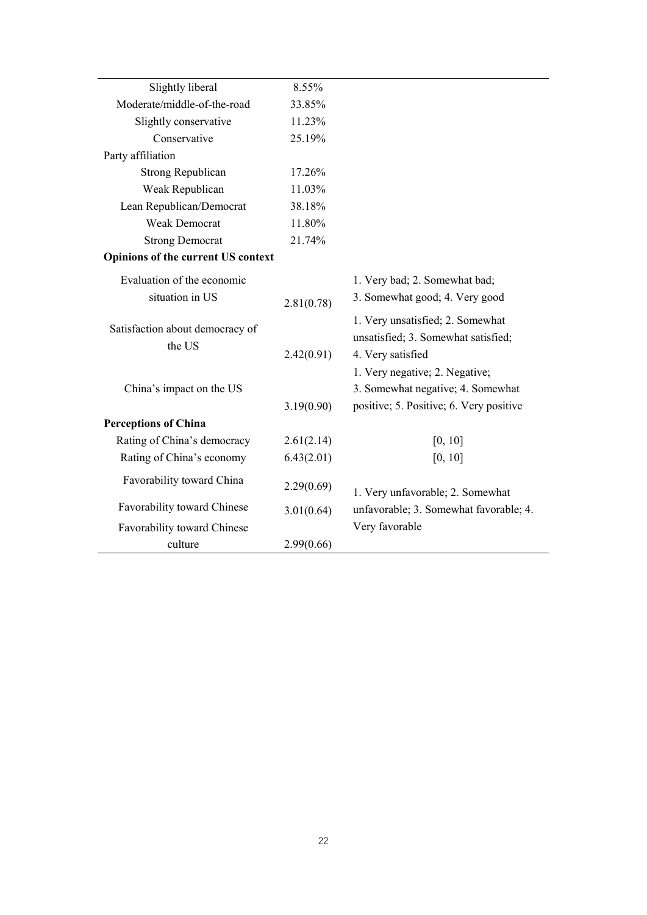| Slightly liberal                          | 8.55%      |                                                                                                                |
|-------------------------------------------|------------|----------------------------------------------------------------------------------------------------------------|
| Moderate/middle-of-the-road               | 33.85%     |                                                                                                                |
| Slightly conservative                     | 11.23%     |                                                                                                                |
| Conservative                              | 25.19%     |                                                                                                                |
| Party affiliation                         |            |                                                                                                                |
| <b>Strong Republican</b>                  | 17.26%     |                                                                                                                |
| Weak Republican                           | 11.03%     |                                                                                                                |
| Lean Republican/Democrat                  | 38.18%     |                                                                                                                |
| <b>Weak Democrat</b>                      | 11.80%     |                                                                                                                |
| <b>Strong Democrat</b>                    | 21.74%     |                                                                                                                |
| Opinions of the current US context        |            |                                                                                                                |
| Evaluation of the economic                |            | 1. Very bad; 2. Somewhat bad;                                                                                  |
| situation in US                           | 2.81(0.78) | 3. Somewhat good; 4. Very good                                                                                 |
| Satisfaction about democracy of<br>the US | 2.42(0.91) | 1. Very unsatisfied; 2. Somewhat<br>unsatisfied; 3. Somewhat satisfied;<br>4. Very satisfied                   |
| China's impact on the US                  | 3.19(0.90) | 1. Very negative; 2. Negative;<br>3. Somewhat negative; 4. Somewhat<br>positive; 5. Positive; 6. Very positive |
| <b>Perceptions of China</b>               |            |                                                                                                                |
| Rating of China's democracy               | 2.61(2.14) | [0, 10]                                                                                                        |
| Rating of China's economy                 | 6.43(2.01) | [0, 10]                                                                                                        |
| Favorability toward China                 | 2.29(0.69) | 1. Very unfavorable; 2. Somewhat                                                                               |
| Favorability toward Chinese               | 3.01(0.64) | unfavorable; 3. Somewhat favorable; 4.                                                                         |
| Favorability toward Chinese               |            | Very favorable                                                                                                 |
| culture                                   | 2.99(0.66) |                                                                                                                |
|                                           |            |                                                                                                                |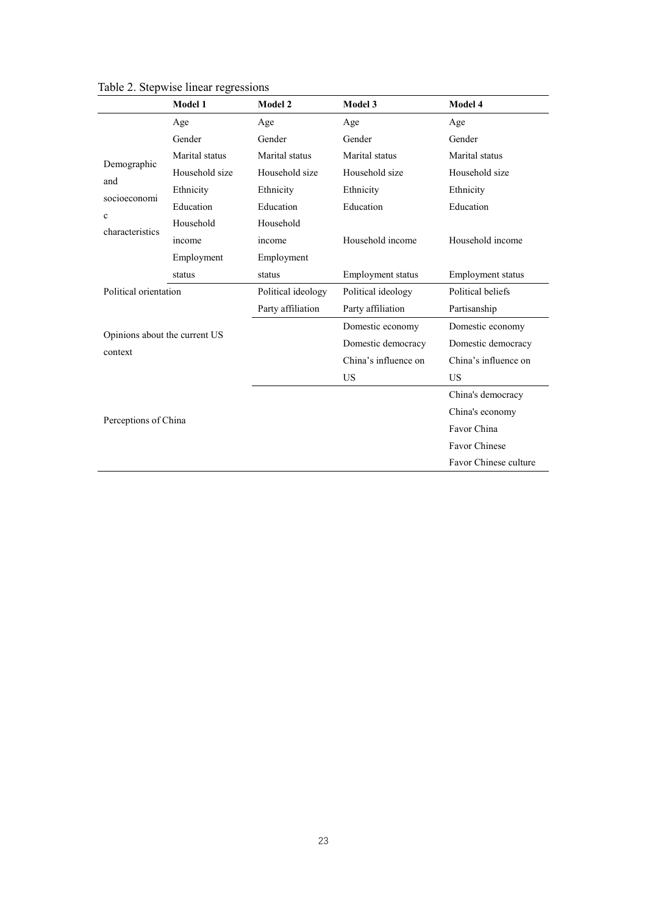|                                                                   | Model 1        | Model 2            | Model 3              | Model 4               |  |
|-------------------------------------------------------------------|----------------|--------------------|----------------------|-----------------------|--|
|                                                                   | Age            | Age                | Age                  | Age                   |  |
|                                                                   | Gender         | Gender             | Gender               | Gender                |  |
|                                                                   | Marital status | Marital status     | Marital status       | Marital status        |  |
| Demographic                                                       | Household size | Household size     | Household size       | Household size        |  |
| and<br>socioeconomi                                               | Ethnicity      | Ethnicity          | Ethnicity            | Ethnicity             |  |
|                                                                   | Education      | Education          | Education            | Education             |  |
| $\mathbf c$<br>characteristics                                    | Household      | Household          |                      |                       |  |
|                                                                   | income         | income             | Household income     | Household income      |  |
|                                                                   | Employment     | Employment         |                      |                       |  |
|                                                                   | status         | status             | Employment status    | Employment status     |  |
| Political orientation<br>Opinions about the current US<br>context |                | Political ideology | Political ideology   | Political beliefs     |  |
|                                                                   |                | Party affiliation  | Party affiliation    | Partisanship          |  |
|                                                                   |                |                    | Domestic economy     | Domestic economy      |  |
|                                                                   |                |                    | Domestic democracy   | Domestic democracy    |  |
|                                                                   |                |                    | China's influence on | China's influence on  |  |
|                                                                   |                |                    | <b>US</b>            | <b>US</b>             |  |
|                                                                   |                |                    |                      | China's democracy     |  |
|                                                                   |                |                    |                      | China's economy       |  |
| Perceptions of China                                              |                |                    |                      | Favor China           |  |
|                                                                   |                |                    |                      | Favor Chinese         |  |
|                                                                   |                |                    |                      | Favor Chinese culture |  |

Table 2. Stepwise linear regressions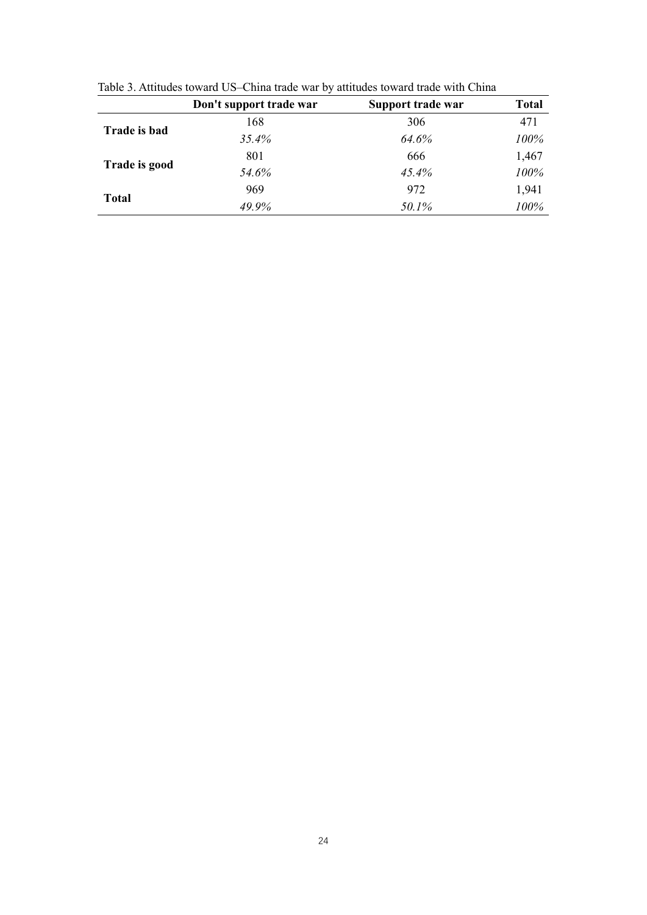| 471<br>306<br>168<br>Trade is bad<br>35.4%<br>64.6%<br>100%<br>1,467<br>801<br>666<br>Trade is good<br>54.6%<br>45.4%<br>100% | Don't support trade war | Support trade war | <b>Total</b> |
|-------------------------------------------------------------------------------------------------------------------------------|-------------------------|-------------------|--------------|
|                                                                                                                               |                         |                   |              |
|                                                                                                                               |                         |                   |              |
|                                                                                                                               |                         |                   |              |
|                                                                                                                               |                         |                   |              |
|                                                                                                                               | 969                     | 972               | 1,941        |
| <b>Total</b><br>49.9%<br>50.1%<br>100%                                                                                        |                         |                   |              |

Table 3. Attitudes toward US–China trade war by attitudes toward trade with China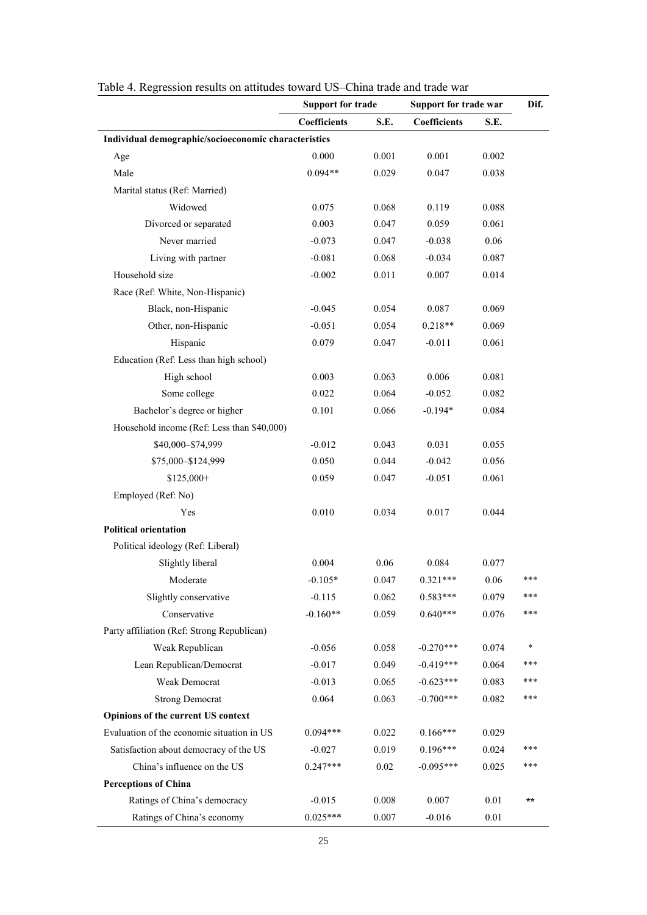|                                                      | <b>Support for trade</b> |          | Support for trade war |       | Dif.         |
|------------------------------------------------------|--------------------------|----------|-----------------------|-------|--------------|
|                                                      | Coefficients             | S.E.     | Coefficients          | S.E.  |              |
| Individual demographic/socioeconomic characteristics |                          |          |                       |       |              |
| Age                                                  | 0.000                    | 0.001    | 0.001                 | 0.002 |              |
| Male                                                 | $0.094**$                | 0.029    | 0.047                 | 0.038 |              |
| Marital status (Ref: Married)                        |                          |          |                       |       |              |
| Widowed                                              | 0.075                    | 0.068    | 0.119                 | 0.088 |              |
| Divorced or separated                                | 0.003                    | 0.047    | 0.059                 | 0.061 |              |
| Never married                                        | $-0.073$                 | 0.047    | $-0.038$              | 0.06  |              |
| Living with partner                                  | $-0.081$                 | 0.068    | $-0.034$              | 0.087 |              |
| Household size                                       | $-0.002$                 | 0.011    | 0.007                 | 0.014 |              |
| Race (Ref: White, Non-Hispanic)                      |                          |          |                       |       |              |
| Black, non-Hispanic                                  | $-0.045$                 | 0.054    | 0.087                 | 0.069 |              |
| Other, non-Hispanic                                  | $-0.051$                 | 0.054    | $0.218**$             | 0.069 |              |
| Hispanic                                             | 0.079                    | 0.047    | $-0.011$              | 0.061 |              |
| Education (Ref: Less than high school)               |                          |          |                       |       |              |
| High school                                          | 0.003                    | 0.063    | 0.006                 | 0.081 |              |
| Some college                                         | 0.022                    | 0.064    | $-0.052$              | 0.082 |              |
| Bachelor's degree or higher                          | 0.101                    | 0.066    | $-0.194*$             | 0.084 |              |
| Household income (Ref: Less than \$40,000)           |                          |          |                       |       |              |
| \$40,000-\$74,999                                    | $-0.012$                 | 0.043    | 0.031                 | 0.055 |              |
| \$75,000-\$124,999                                   | 0.050                    | 0.044    | $-0.042$              | 0.056 |              |
| $$125,000+$                                          | 0.059                    | 0.047    | $-0.051$              | 0.061 |              |
| Employed (Ref: No)                                   |                          |          |                       |       |              |
| Yes                                                  | 0.010                    | 0.034    | 0.017                 | 0.044 |              |
| <b>Political orientation</b>                         |                          |          |                       |       |              |
| Political ideology (Ref: Liberal)                    |                          |          |                       |       |              |
| Slightly liberal                                     | 0.004                    | 0.06     | 0.084                 | 0.077 |              |
| Moderate                                             | $-0.105*$                | 0.047    | $0.321***$            | 0.06  | ***          |
| Slightly conservative                                | $-0.115$                 | 0.062    | $0.583***$            | 0.079 | ***          |
| Conservative                                         | $-0.160**$               | 0.059    | $0.640***$            | 0.076 | ***          |
| Party affiliation (Ref: Strong Republican)           |                          |          |                       |       |              |
| Weak Republican                                      | $-0.056$                 | 0.058    | $-0.270***$           | 0.074 | *            |
| Lean Republican/Democrat                             | $-0.017$                 | 0.049    | $-0.419***$           | 0.064 | ***          |
| Weak Democrat                                        | $-0.013$                 | 0.065    | $-0.623***$           | 0.083 | ***          |
| <b>Strong Democrat</b>                               | 0.064                    | 0.063    | $-0.700***$           | 0.082 | ***          |
| Opinions of the current US context                   |                          |          |                       |       |              |
| Evaluation of the economic situation in US           | $0.094***$               | 0.022    | $0.166***$            | 0.029 |              |
| Satisfaction about democracy of the US               | $-0.027$                 | 0.019    | $0.196***$            | 0.024 | ***          |
| China's influence on the US                          | $0.247***$               | $0.02\,$ | $-0.095***$           | 0.025 | ***          |
| <b>Perceptions of China</b>                          |                          |          |                       |       |              |
| Ratings of China's democracy                         | $-0.015$                 | 0.008    | 0.007                 | 0.01  | $\star\star$ |
| Ratings of China's economy                           | $0.025***$               | 0.007    | $-0.016$              | 0.01  |              |

Table 4. Regression results on attitudes toward US–China trade and trade war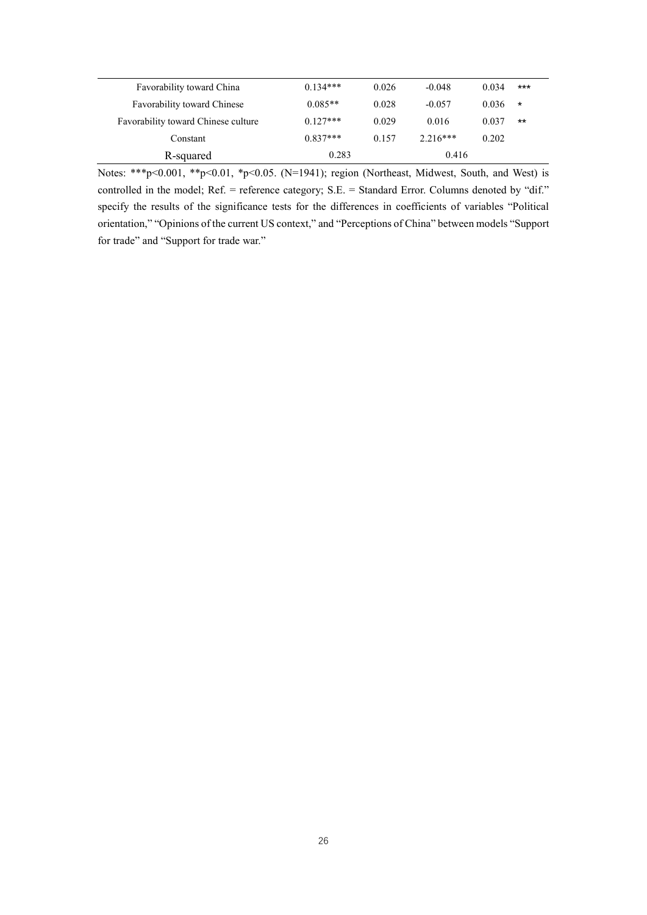| Favorability toward China           | $0.134***$ | 0.026 | $-0.048$   | 0.034 | $***$   |
|-------------------------------------|------------|-------|------------|-------|---------|
| <b>Favorability toward Chinese</b>  | $0.085**$  | 0.028 | $-0.057$   | 0.036 | $\star$ |
| Favorability toward Chinese culture | $0.127***$ | 0.029 | 0.016      | 0.037 | $***$   |
| Constant                            | $0.837***$ | 0.157 | $2.216***$ | 0.202 |         |
| R-squared                           | 0.283      |       | 0.416      |       |         |

Notes: \*\*\*p<0.001, \*\*p<0.01, \*p<0.05. (N=1941); region (Northeast, Midwest, South, and West) is controlled in the model; Ref. = reference category; S.E. = Standard Error. Columns denoted by "dif." specify the results of the significance tests for the differences in coefficients of variables "Political orientation," "Opinions of the current US context," and "Perceptions of China" between models "Support for trade" and "Support for trade war."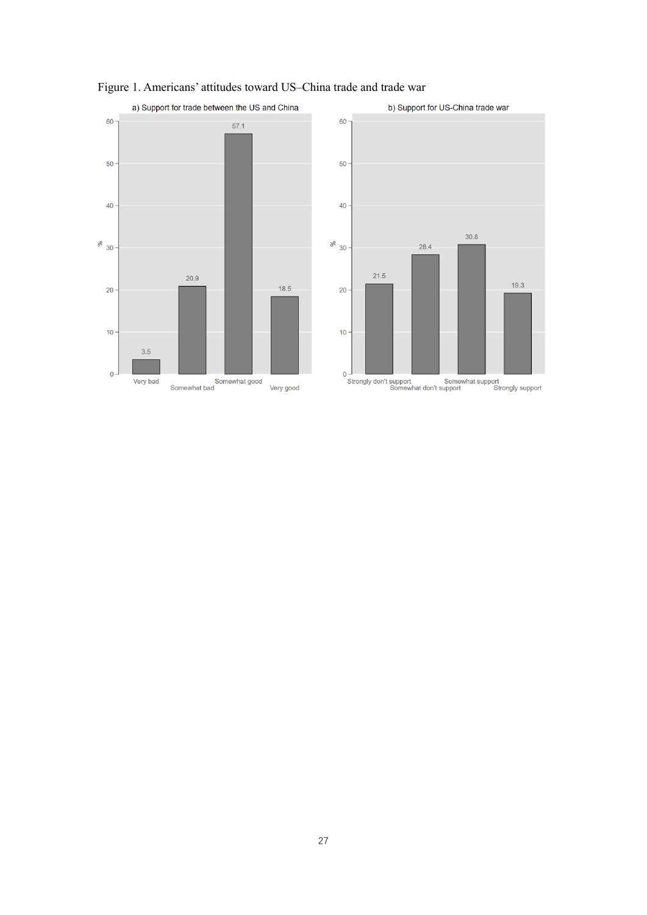

## Figure 1. Americans' attitudes toward US–China trade and trade war

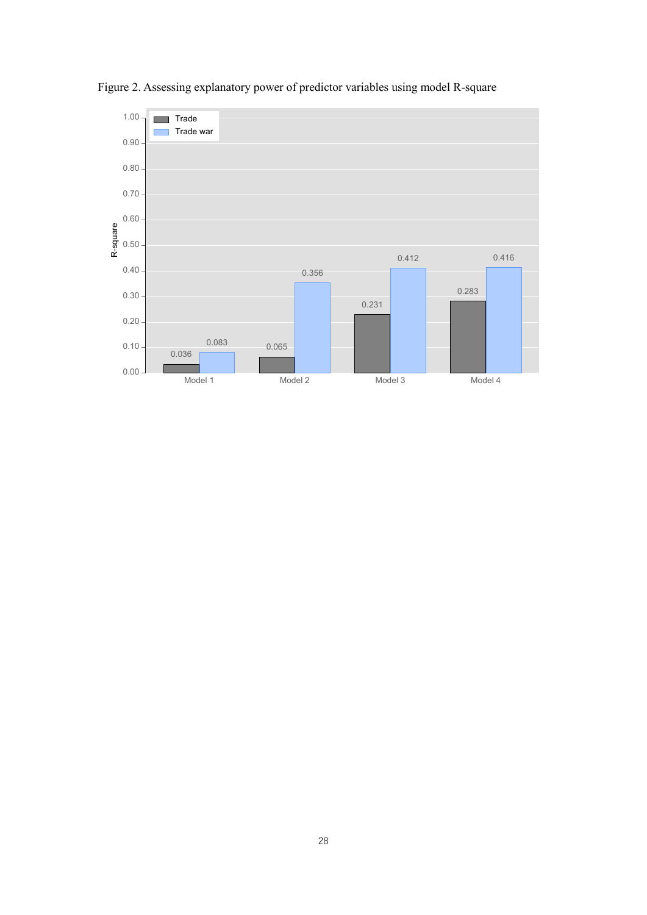

Figure 2. Assessing explanatory power of predictor variables using model R-square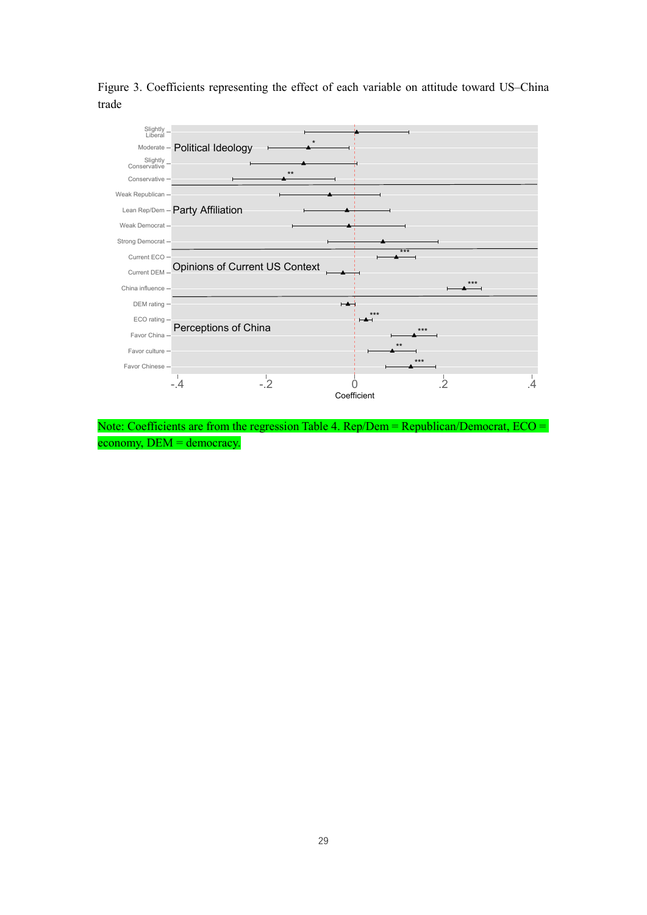Figure 3. Coefficients representing the effect of each variable on attitude toward US–China trade



Note: Coefficients are from the regression Table 4. Rep/Dem = Republican/Democrat, ECO = economy, DEM = democracy.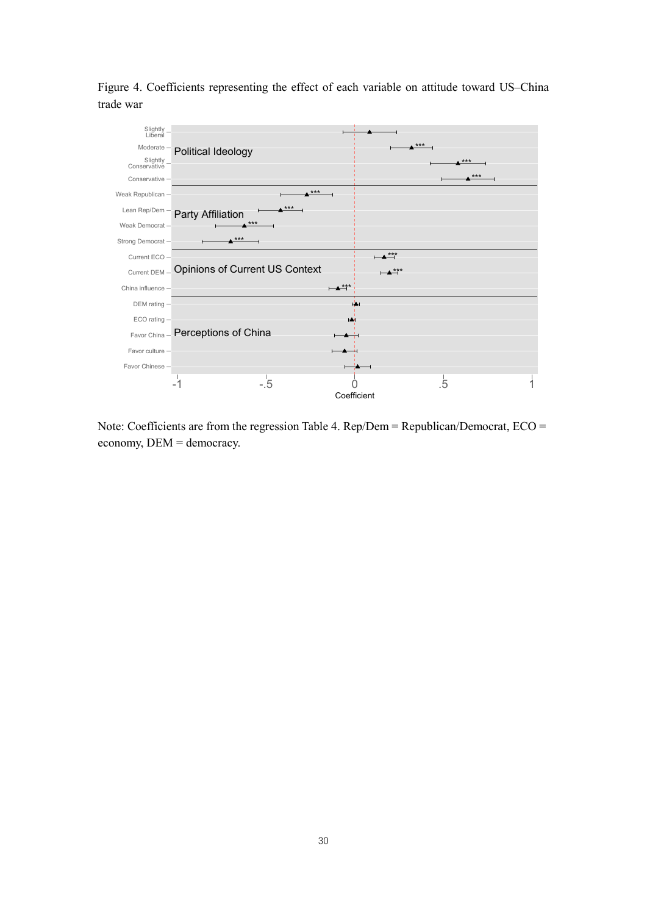Figure 4. Coefficients representing the effect of each variable on attitude toward US–China trade war



Note: Coefficients are from the regression Table 4. Rep/Dem = Republican/Democrat, ECO = economy, DEM = democracy.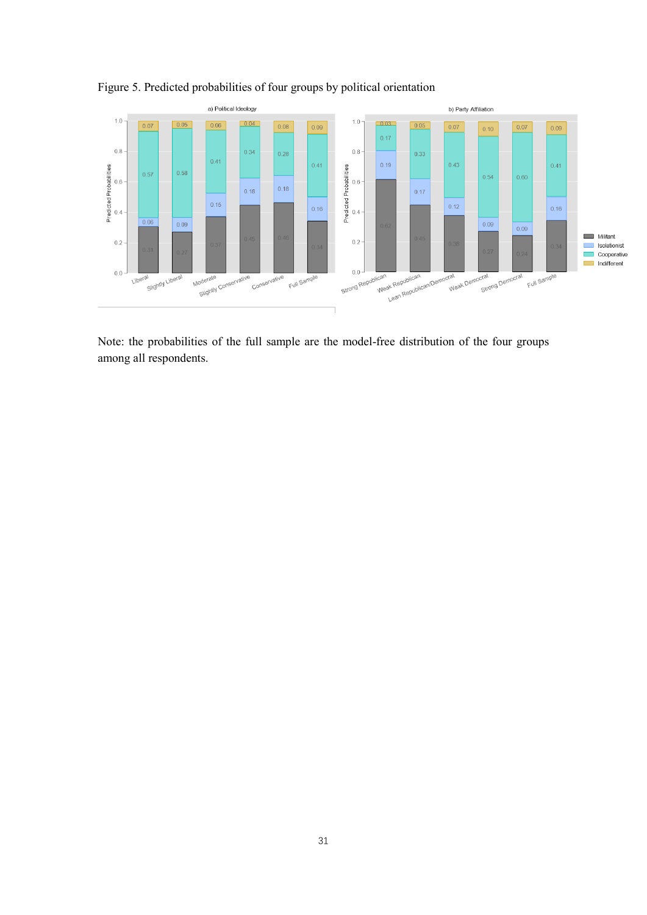

## Figure 5. Predicted probabilities of four groups by political orientation

Note: the probabilities of the full sample are the model-free distribution of the four groups among all respondents.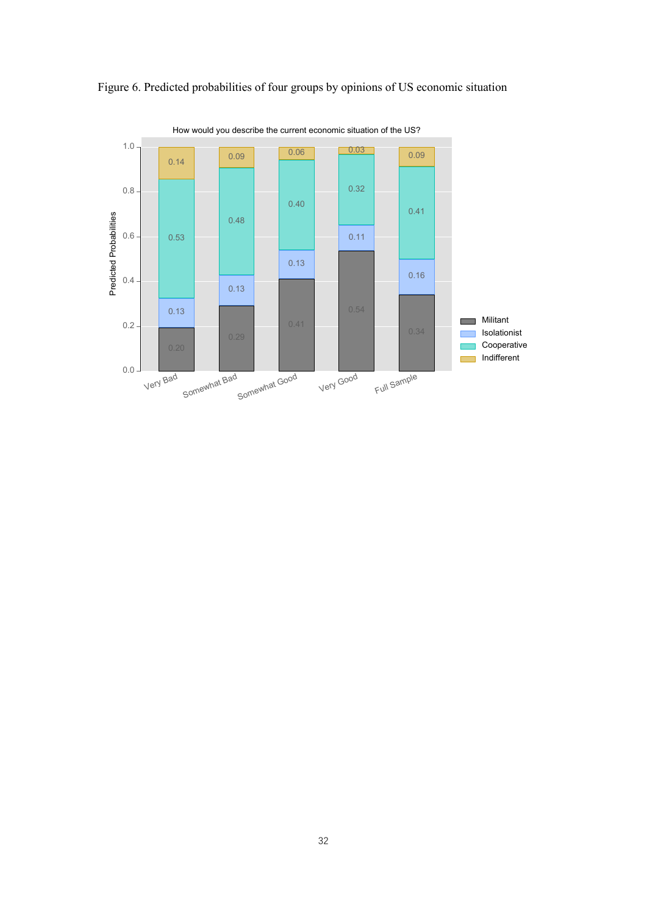

Figure 6. Predicted probabilities of four groups by opinions of US economic situation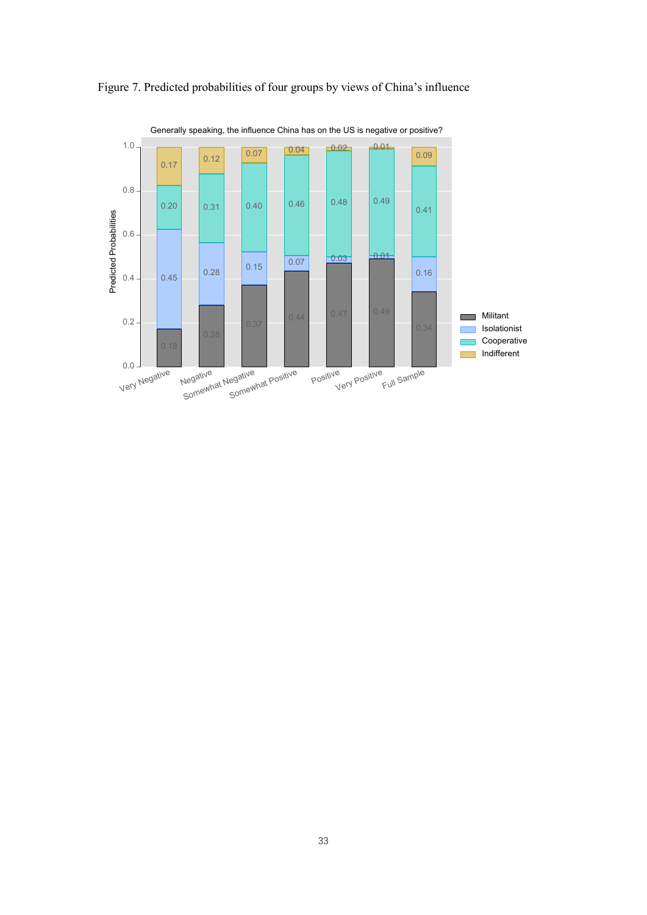

Figure 7. Predicted probabilities of four groups by views of China's influence